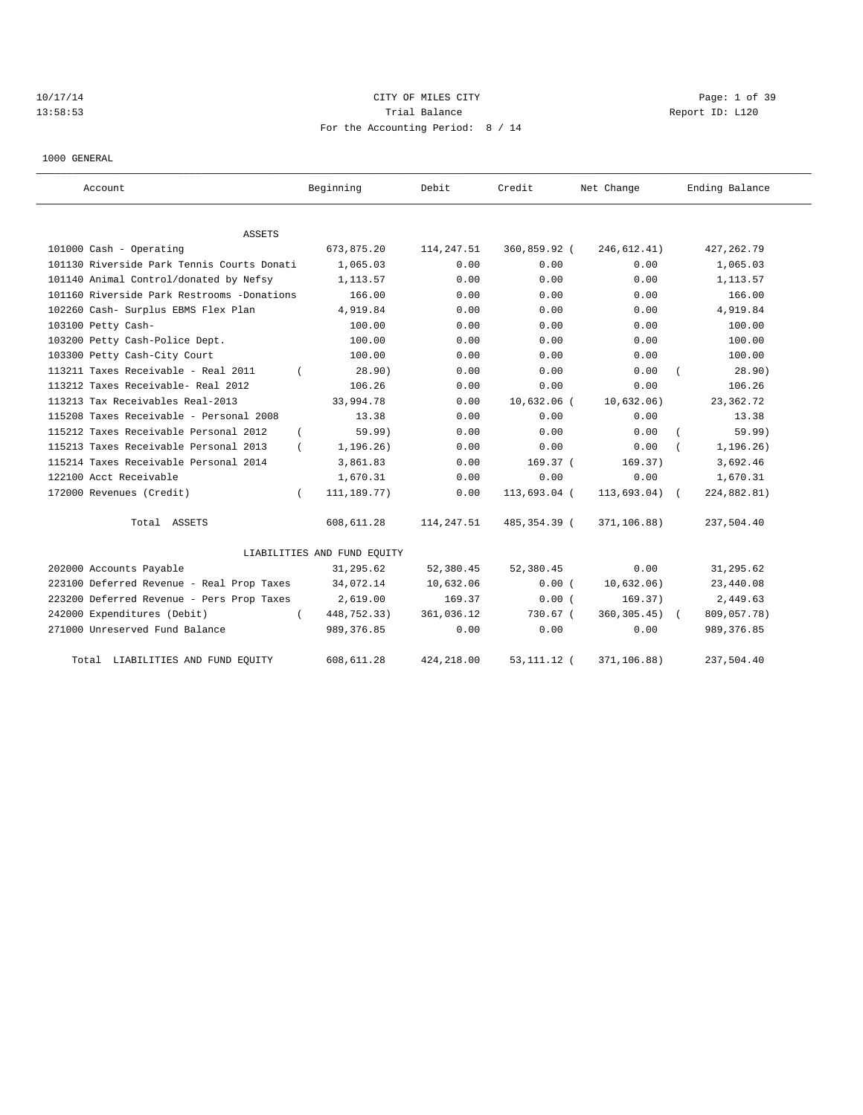# 10/17/14 CITY OF MILES CITY Page: 1 of 39 13:58:53 Trial Balance Report ID: L120 For the Accounting Period: 8 / 14

1000 GENERAL

| Account                                    | Beginning                   | Debit       | Credit        | Net Change      | Ending Balance |
|--------------------------------------------|-----------------------------|-------------|---------------|-----------------|----------------|
| ASSETS                                     |                             |             |               |                 |                |
| 101000 Cash - Operating                    | 673,875.20                  | 114, 247.51 | 360,859.92 (  | 246, 612.41)    | 427, 262.79    |
| 101130 Riverside Park Tennis Courts Donati | 1,065.03                    | 0.00        | 0.00          | 0.00            | 1,065.03       |
| 101140 Animal Control/donated by Nefsy     | 1, 113, 57                  | 0.00        | 0.00          | 0.00            | 1,113.57       |
| 101160 Riverside Park Restrooms -Donations | 166.00                      | 0.00        | 0.00          | 0.00            | 166.00         |
| 102260 Cash- Surplus EBMS Flex Plan        | 4,919.84                    | 0.00        | 0.00          | 0.00            | 4,919.84       |
| 103100 Petty Cash-                         | 100.00                      | 0.00        | 0.00          | 0.00            | 100.00         |
| 103200 Petty Cash-Police Dept.             | 100.00                      | 0.00        | 0.00          | 0.00            | 100.00         |
| 103300 Petty Cash-City Court               | 100.00                      | 0.00        | 0.00          | 0.00            | 100.00         |
| 113211 Taxes Receivable - Real 2011        | 28.90)                      | 0.00        | 0.00          | 0.00            | 28.90)         |
| 113212 Taxes Receivable- Real 2012         | 106.26                      | 0.00        | 0.00          | 0.00            | 106.26         |
| 113213 Tax Receivables Real-2013           | 33,994.78                   | 0.00        | $10,632.06$ ( | 10,632.06)      | 23, 362. 72    |
| 115208 Taxes Receivable - Personal 2008    | 13.38                       | 0.00        | 0.00          | 0.00            | 13.38          |
| 115212 Taxes Receivable Personal 2012      | 59.99)                      | 0.00        | 0.00          | 0.00            | 59.99)         |
| 115213 Taxes Receivable Personal 2013      | 1, 196.26)                  | 0.00        | 0.00          | 0.00            | 1, 196.26)     |
| 115214 Taxes Receivable Personal 2014      | 3,861.83                    | 0.00        | 169.37 (      | 169.37)         | 3,692.46       |
| 122100 Acct Receivable                     | 1,670.31                    | 0.00        | 0.00          | 0.00            | 1,670.31       |
| 172000 Revenues (Credit)<br>$\left($       | 111, 189. 77)               | 0.00        | 113,693.04 (  | $113,693.04)$ ( | 224,882.81)    |
| Total ASSETS                               | 608,611.28                  | 114,247.51  | 485,354.39 (  | 371,106.88)     | 237,504.40     |
|                                            | LIABILITIES AND FUND EQUITY |             |               |                 |                |
| 202000 Accounts Payable                    | 31,295.62                   | 52,380.45   | 52,380.45     | 0.00            | 31,295.62      |
| 223100 Deferred Revenue - Real Prop Taxes  | 34,072.14                   | 10,632.06   | 0.00(         | 10,632.06)      | 23,440.08      |
| 223200 Deferred Revenue - Pers Prop Taxes  | 2,619.00                    | 169.37      | 0.00(         | 169.37)         | 2,449.63       |
| 242000 Expenditures (Debit)                | 448,752.33)                 | 361,036.12  | 730.67 (      | $360, 305.45$ ( | 809,057.78)    |
| 271000 Unreserved Fund Balance             | 989, 376.85                 | 0.00        | 0.00          | 0.00            | 989, 376.85    |
| LIABILITIES AND FUND EQUITY<br>Total       | 608,611.28                  | 424, 218.00 | 53, 111. 12 ( | 371,106.88)     | 237,504.40     |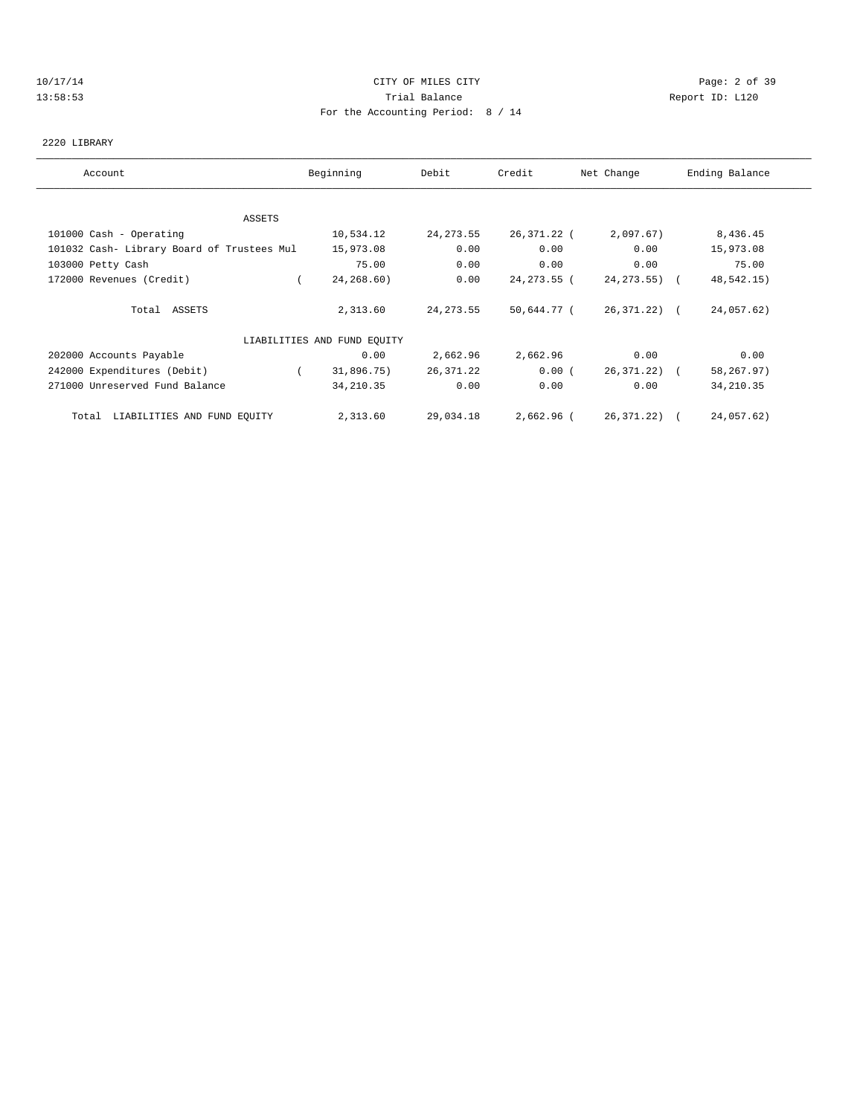## 10/17/14 CITY OF MILES CITY Page: 2 of 39 13:58:53 Trial Balance Report ID: L120 For the Accounting Period: 8 / 14

#### 2220 LIBRARY

| Account                                    | Beginning                   | Debit      | Credit       | Net Change   | Ending Balance |
|--------------------------------------------|-----------------------------|------------|--------------|--------------|----------------|
|                                            |                             |            |              |              |                |
| ASSETS                                     |                             |            |              |              |                |
| 101000 Cash - Operating                    | 10,534.12                   | 24, 273.55 | 26,371.22 (  | 2,097.67)    | 8,436.45       |
| 101032 Cash- Library Board of Trustees Mul | 15,973.08                   | 0.00       | 0.00         | 0.00         | 15,973.08      |
| 103000 Petty Cash                          | 75.00                       | 0.00       | 0.00         | 0.00         | 75.00          |
| 172000 Revenues (Credit)                   | 24,268.60)                  | 0.00       | 24, 273.55 ( | 24,273.55) ( | 48,542.15)     |
| Total ASSETS                               | 2,313.60                    | 24, 273.55 | 50,644.77 (  | 26,371.22) ( | 24,057.62)     |
|                                            | LIABILITIES AND FUND EQUITY |            |              |              |                |
| 202000 Accounts Payable                    | 0.00                        | 2,662.96   | 2,662.96     | 0.00         | 0.00           |
| 242000 Expenditures (Debit)                | 31,896.75)                  | 26,371.22  | 0.00(        | 26,371.22) ( | 58,267.97)     |
| 271000 Unreserved Fund Balance             | 34, 210.35                  | 0.00       | 0.00         | 0.00         | 34, 210.35     |
| Total LIABILITIES AND FUND EQUITY          | 2,313.60                    | 29,034.18  | 2,662.96 (   | 26,371.22) ( | 24,057.62)     |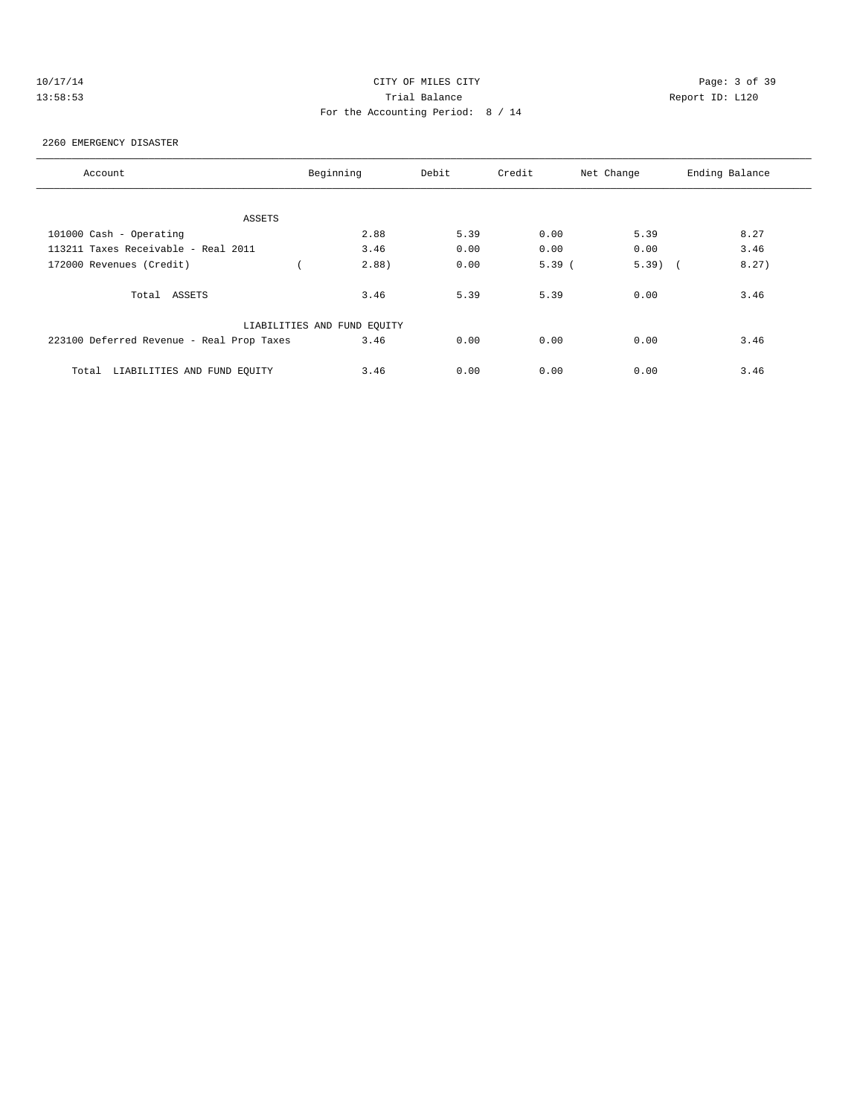| 1 O | п. |   |  |  |
|-----|----|---|--|--|
|     |    | Ω |  |  |

# CITY OF MILES CITY CONTROL CONTROL CONTROL CONTROL CONTROL PAGE: 3 of 39 13:58:53 Trial Balance Report ID: L120 For the Accounting Period: 8 / 14

#### 2260 EMERGENCY DISASTER

| Account                                   | Beginning                   | Debit | Credit | Net Change | Ending Balance |
|-------------------------------------------|-----------------------------|-------|--------|------------|----------------|
|                                           |                             |       |        |            |                |
| ASSETS                                    |                             |       |        |            |                |
| 101000 Cash - Operating                   | 2.88                        | 5.39  | 0.00   | 5.39       | 8.27           |
| 113211 Taxes Receivable - Real 2011       | 3.46                        | 0.00  | 0.00   | 0.00       | 3.46           |
| 172000 Revenues (Credit)                  | 2.88)                       | 0.00  | 5.39(  | $5.39$ (   | 8.27)          |
| Total ASSETS                              | 3.46                        | 5.39  | 5.39   | 0.00       | 3.46           |
|                                           | LIABILITIES AND FUND EQUITY |       |        |            |                |
| 223100 Deferred Revenue - Real Prop Taxes | 3.46                        | 0.00  | 0.00   | 0.00       | 3.46           |
| LIABILITIES AND FUND EOUITY<br>Total      | 3.46                        | 0.00  | 0.00   | 0.00       | 3.46           |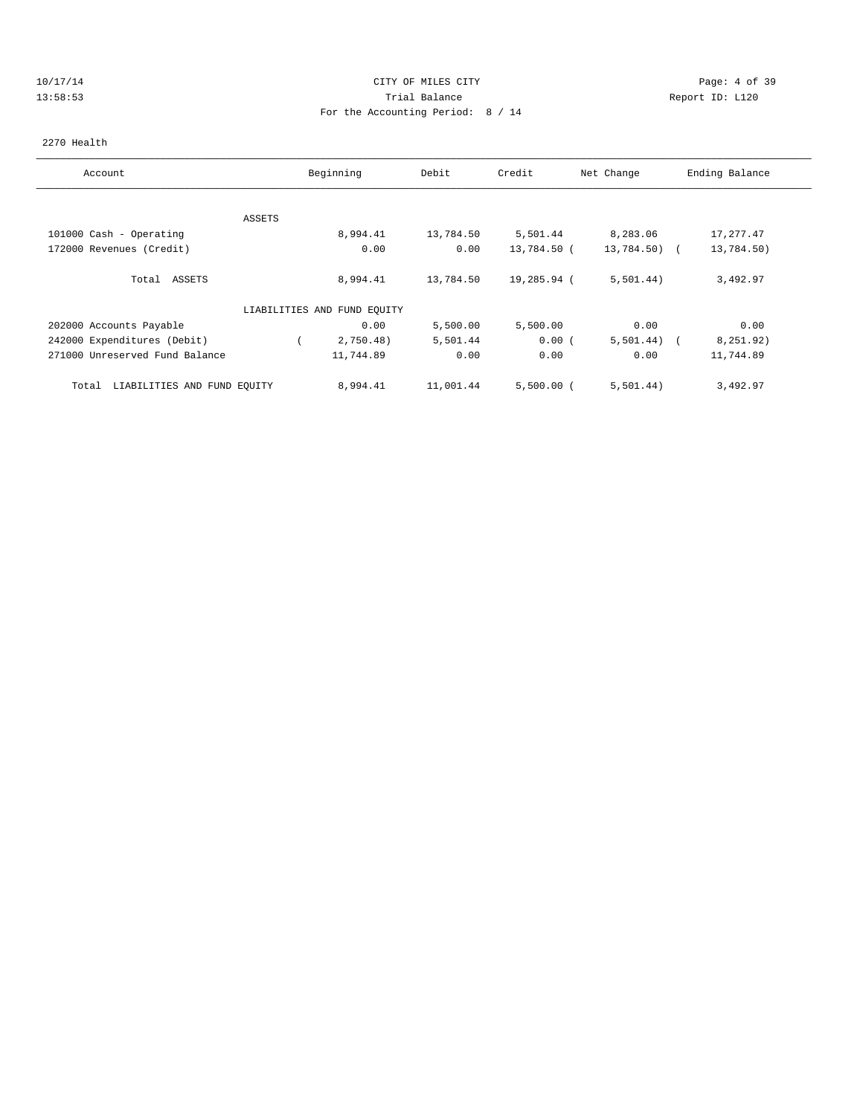## 10/17/14 CITY OF MILES CITY Page: 4 of 39 13:58:53 Trial Balance Report ID: L120 For the Accounting Period: 8 / 14

#### 2270 Health

| Account                              |        | Beginning                   | Debit     | Credit       | Net Change   | Ending Balance          |
|--------------------------------------|--------|-----------------------------|-----------|--------------|--------------|-------------------------|
|                                      |        |                             |           |              |              |                         |
|                                      | ASSETS |                             |           |              |              |                         |
| 101000 Cash - Operating              |        | 8,994.41                    | 13,784.50 | 5,501.44     | 8,283.06     | 17,277.47               |
| 172000 Revenues (Credit)             |        | 0.00                        | 0.00      | 13,784.50 (  | 13,784.50) ( | 13,784.50)              |
| ASSETS<br>Total                      |        | 8,994.41                    | 13,784.50 | 19,285.94 (  | 5,501.44)    | 3,492.97                |
|                                      |        | LIABILITIES AND FUND EQUITY |           |              |              |                         |
| 202000 Accounts Payable              |        | 0.00                        | 5,500.00  | 5,500.00     | 0.00         | 0.00                    |
| 242000 Expenditures (Debit)          |        | 2,750.48)                   | 5,501.44  | 0.00(        | 5,501.44)    | 8,251.92)<br>$\sqrt{2}$ |
| 271000 Unreserved Fund Balance       |        | 11,744.89                   | 0.00      | 0.00         | 0.00         | 11,744.89               |
| LIABILITIES AND FUND EQUITY<br>Total |        | 8,994.41                    | 11,001.44 | $5,500.00$ ( | 5,501.44)    | 3,492.97                |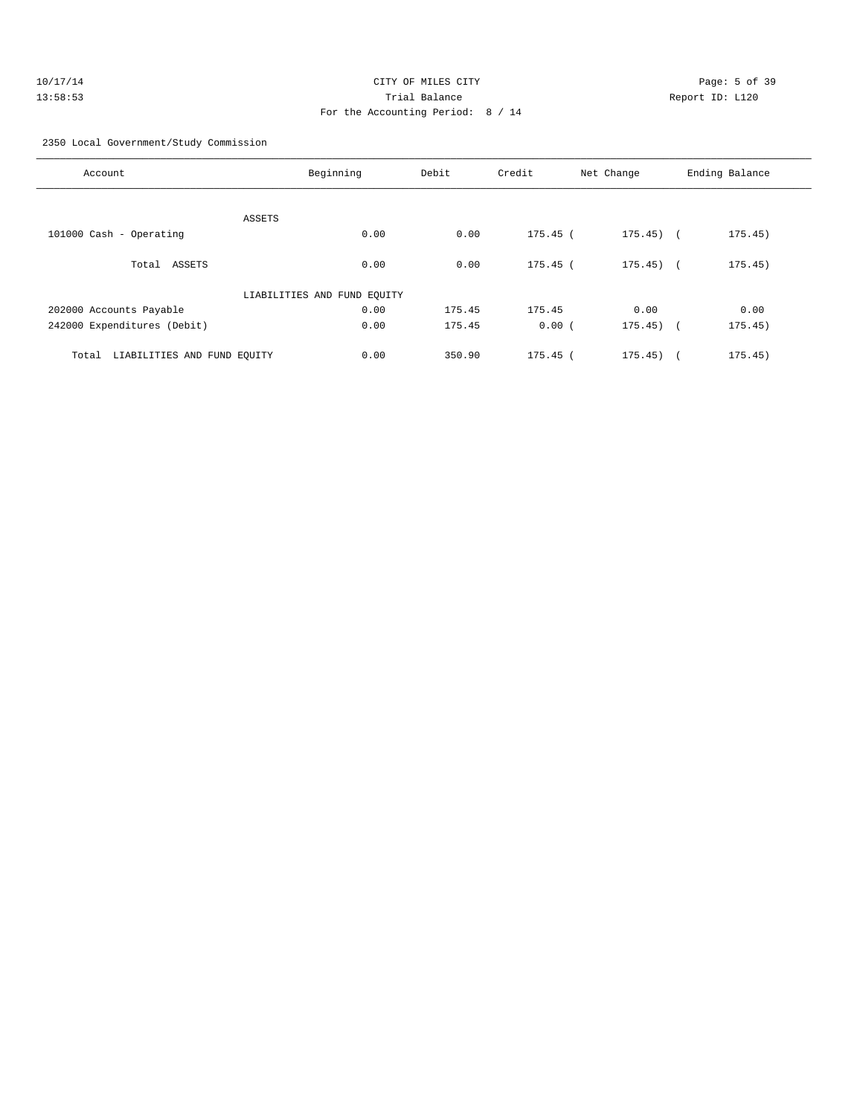| 10/17/14 | CITY OF MILES CITY                |              |
|----------|-----------------------------------|--------------|
| 13:58:53 | Trial Balance                     | $\mathbb{R}$ |
|          | For the Accounting Period: 8 / 14 |              |

Page: 5 of 39 13:53 Trial Balance Report ID:

### 2350 Local Government/Study Commission

| Account                              | Beginning                   | Debit  | Credit     | Net Change  | Ending Balance |
|--------------------------------------|-----------------------------|--------|------------|-------------|----------------|
|                                      |                             |        |            |             |                |
|                                      | ASSETS                      |        |            |             |                |
| 101000 Cash - Operating              | 0.00                        | 0.00   | $175.45$ ( | $175.45)$ ( | 175.45)        |
| Total ASSETS                         | 0.00                        | 0.00   | $175.45$ ( | $175.45$ (  | 175.45)        |
|                                      | LIABILITIES AND FUND EQUITY |        |            |             |                |
| 202000 Accounts Payable              | 0.00                        | 175.45 | 175.45     | 0.00        | 0.00           |
| 242000 Expenditures (Debit)          | 0.00                        | 175.45 | 0.00(      | $175.45)$ ( | 175.45)        |
| LIABILITIES AND FUND EQUITY<br>Total | 0.00                        | 350.90 | $175.45$ ( | 175.45)     | 175.45)        |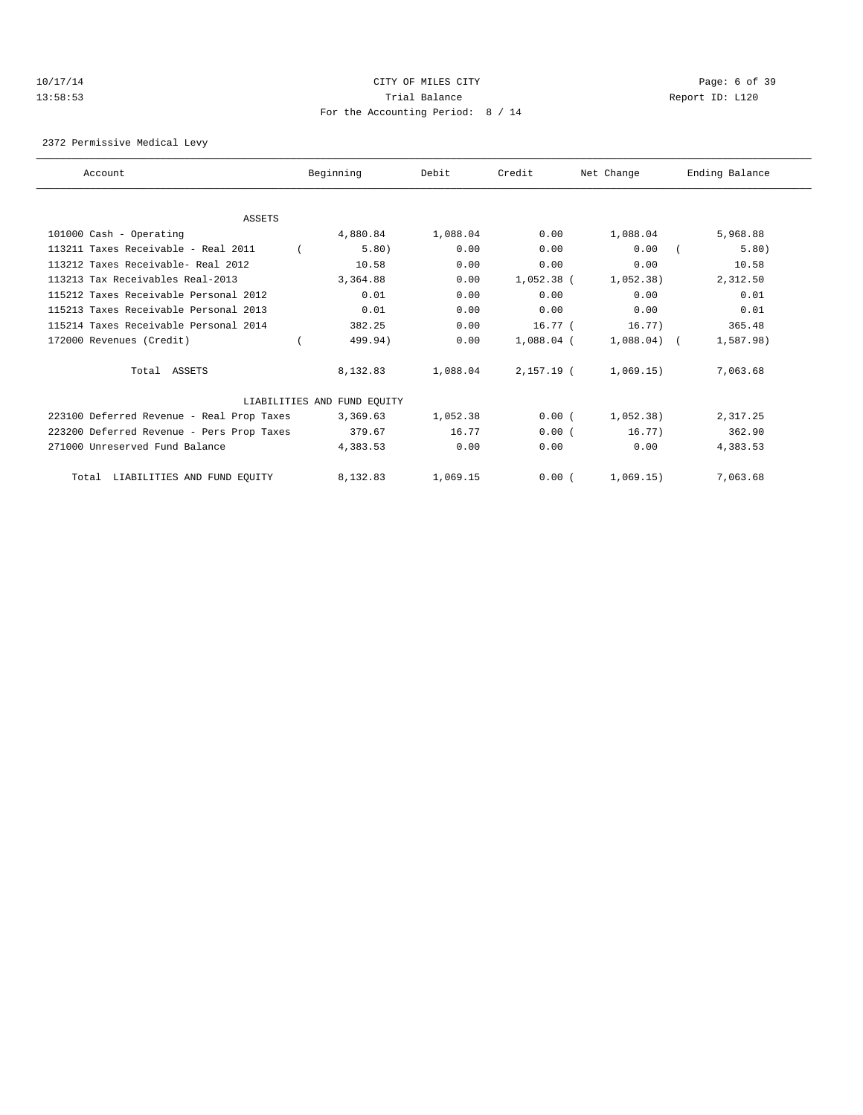## 10/17/14 CITY OF MILES CITY Page: 6 of 39 13:58:53 Trial Balance Report ID: L120 For the Accounting Period: 8 / 14

2372 Permissive Medical Levy

| Account                                   | Beginning                   | Debit    | Credit       | Net Change    | Ending Balance |
|-------------------------------------------|-----------------------------|----------|--------------|---------------|----------------|
|                                           |                             |          |              |               |                |
| ASSETS                                    |                             |          |              |               |                |
| 101000 Cash - Operating                   | 4,880.84                    | 1,088.04 | 0.00         | 1,088.04      | 5,968.88       |
| 113211 Taxes Receivable - Real 2011       | 5.80)                       | 0.00     | 0.00         | 0.00          | 5.80)          |
| 113212 Taxes Receivable- Real 2012        | 10.58                       | 0.00     | 0.00         | 0.00          | 10.58          |
| 113213 Tax Receivables Real-2013          | 3,364.88                    | 0.00     | $1,052.38$ ( | 1,052,38)     | 2,312.50       |
| 115212 Taxes Receivable Personal 2012     | 0.01                        | 0.00     | 0.00         | 0.00          | 0.01           |
| 115213 Taxes Receivable Personal 2013     | 0.01                        | 0.00     | 0.00         | 0.00          | 0.01           |
| 115214 Taxes Receivable Personal 2014     | 382.25                      | 0.00     | $16.77-$     | 16.77)        | 365.48         |
| 172000 Revenues (Credit)                  | 499.94)                     | 0.00     | $1,088.04$ ( | $1,088.04)$ ( | 1,587.98)      |
| Total ASSETS                              | 8,132.83                    | 1,088.04 | $2,157.19$ ( | 1,069.15)     | 7,063.68       |
|                                           | LIABILITIES AND FUND EQUITY |          |              |               |                |
| 223100 Deferred Revenue - Real Prop Taxes | 3,369.63                    | 1,052.38 | 0.00(        | 1,052,38)     | 2,317.25       |
| 223200 Deferred Revenue - Pers Prop Taxes | 379.67                      | 16.77    | 0.00(        | 16.77)        | 362.90         |
| 271000 Unreserved Fund Balance            | 4,383.53                    | 0.00     | 0.00         | 0.00          | 4,383.53       |
| LIABILITIES AND FUND EQUITY<br>Total      | 8,132.83                    | 1,069.15 | 0.00(        | 1,069.15)     | 7,063.68       |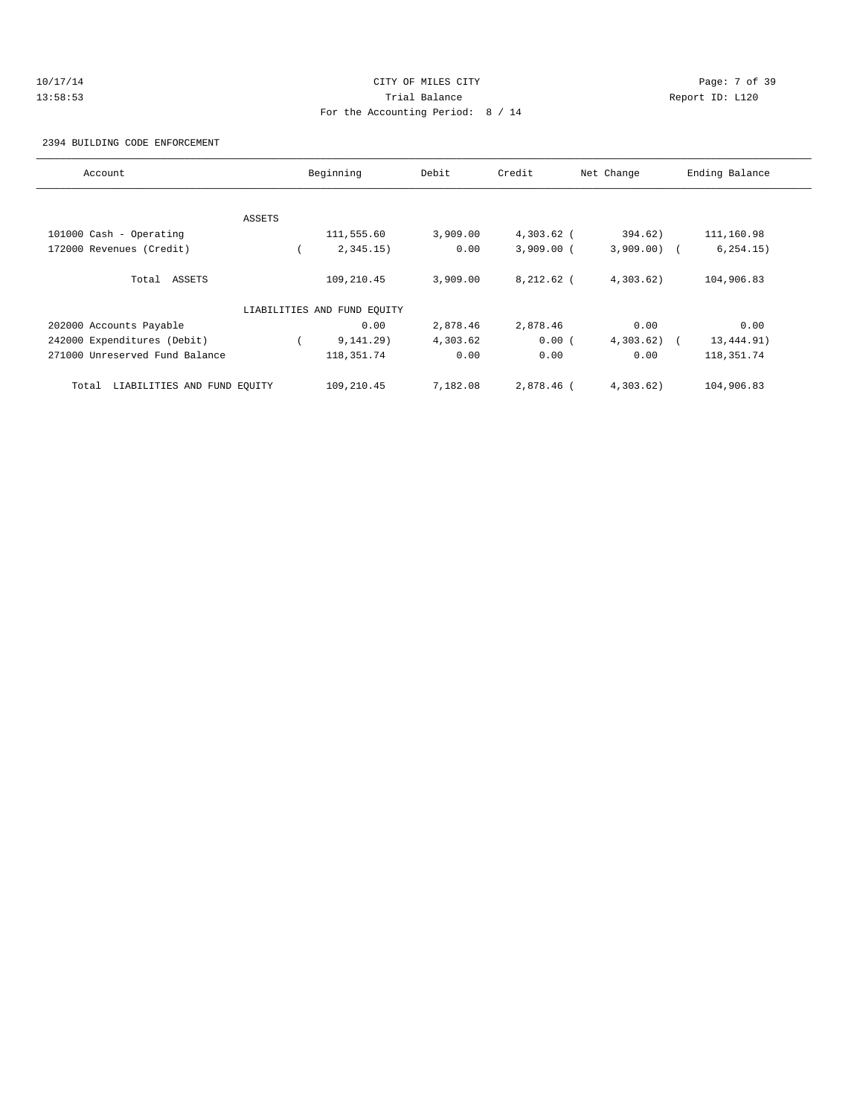# 10/17/14 CITY OF MILES CITY Page: 7 of 39 13:58:53 Trial Balance Report ID: L120 For the Accounting Period: 8 / 14

2394 BUILDING CODE ENFORCEMENT

| Account                              |        | Beginning                   | Debit    | Credit       | Net Change   | Ending Balance |
|--------------------------------------|--------|-----------------------------|----------|--------------|--------------|----------------|
|                                      |        |                             |          |              |              |                |
|                                      | ASSETS |                             |          |              |              |                |
| 101000 Cash - Operating              |        | 111,555.60                  | 3,909.00 | $4,303.62$ ( | 394.62)      | 111,160.98     |
| 172000 Revenues (Credit)             |        | 2,345.15)                   | 0.00     | $3,909.00$ ( | $3,909.00$ ( | 6, 254.15)     |
| Total ASSETS                         |        | 109,210.45                  | 3,909.00 | $8,212.62$ ( | 4,303.62)    | 104,906.83     |
|                                      |        | LIABILITIES AND FUND EOUITY |          |              |              |                |
| 202000 Accounts Payable              |        | 0.00                        | 2,878.46 | 2,878.46     | 0.00         | 0.00           |
| 242000 Expenditures (Debit)          |        | 9, 141.29)                  | 4,303.62 | 0.00(        | 4,303.62)    | 13,444.91)     |
| 271000 Unreserved Fund Balance       |        | 118, 351. 74                | 0.00     | 0.00         | 0.00         | 118, 351. 74   |
| LIABILITIES AND FUND EQUITY<br>Total |        | 109,210.45                  | 7,182.08 | 2,878.46 (   | 4,303.62)    | 104,906.83     |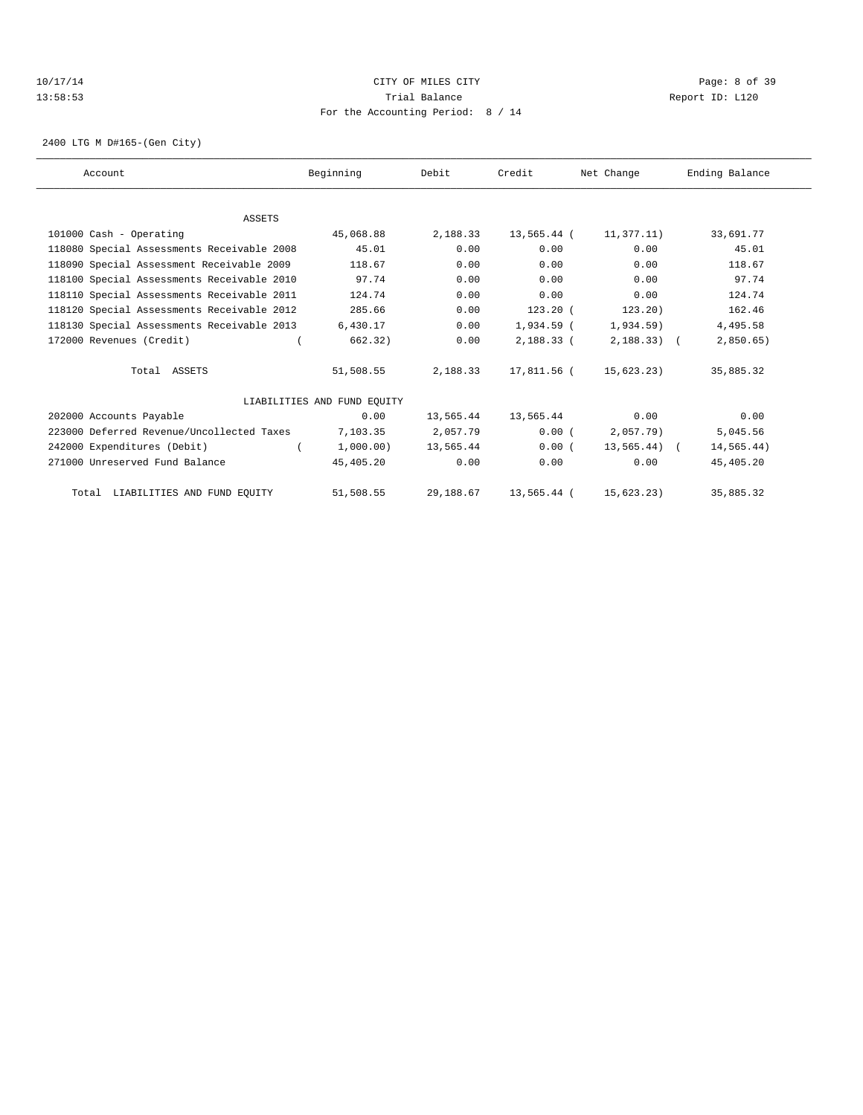## 10/17/14 CITY OF MILES CITY Page: 8 of 39 13:58:53 Trial Balance Report ID: L120 For the Accounting Period: 8 / 14

2400 LTG M D#165-(Gen City)

| Account                                    | Beginning                   | Debit     | Credit      | Net Change      | Ending Balance |
|--------------------------------------------|-----------------------------|-----------|-------------|-----------------|----------------|
|                                            |                             |           |             |                 |                |
| <b>ASSETS</b>                              |                             |           |             |                 |                |
| 101000 Cash - Operating                    | 45,068.88                   | 2,188.33  | 13,565.44 ( | 11,377.11)      | 33,691.77      |
| 118080 Special Assessments Receivable 2008 | 45.01                       | 0.00      | 0.00        | 0.00            | 45.01          |
| 118090 Special Assessment Receivable 2009  | 118.67                      | 0.00      | 0.00        | 0.00            | 118.67         |
| 118100 Special Assessments Receivable 2010 | 97.74                       | 0.00      | 0.00        | 0.00            | 97.74          |
| 118110 Special Assessments Receivable 2011 | 124.74                      | 0.00      | 0.00        | 0.00            | 124.74         |
| 118120 Special Assessments Receivable 2012 | 285.66                      | 0.00      | $123.20$ (  | 123.20)         | 162.46         |
| 118130 Special Assessments Receivable 2013 | 6,430.17                    | 0.00      | 1,934.59 (  | $1,934.59$ )    | 4,495.58       |
| 172000 Revenues (Credit)                   | 662.32)                     | 0.00      | 2,188.33 (  | $2,188.33$ (    | 2,850.65       |
| Total ASSETS                               | 51,508.55                   | 2,188.33  | 17,811.56 ( | 15,623.23)      | 35,885.32      |
|                                            | LIABILITIES AND FUND EQUITY |           |             |                 |                |
| 202000 Accounts Payable                    | 0.00                        | 13,565.44 | 13,565.44   | 0.00            | 0.00           |
| 223000 Deferred Revenue/Uncollected Taxes  | 7,103.35                    | 2,057.79  | 0.00(       | $2,057.79$ )    | 5,045.56       |
| 242000 Expenditures (Debit)                | 1,000,00)                   | 13,565.44 | 0.00(       | $13,565.44$ ) ( | 14,565.44)     |
| 271000 Unreserved Fund Balance             | 45,405.20                   | 0.00      | 0.00        | 0.00            | 45,405.20      |
| Total LIABILITIES AND FUND EQUITY          | 51,508.55                   | 29,188.67 | 13,565.44 ( | 15,623.23)      | 35,885.32      |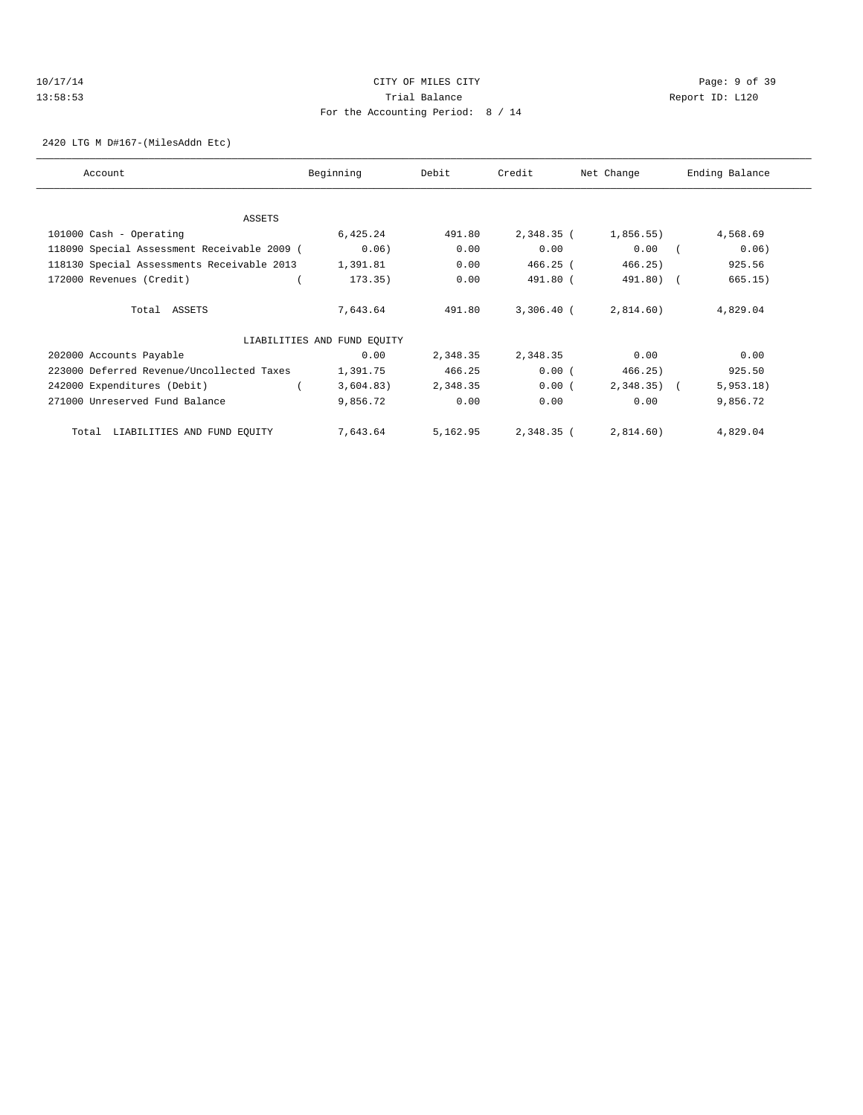# 10/17/14 CITY OF MILES CITY Page: 9 of 39 13:58:53 Trial Balance Report ID: L120 For the Accounting Period: 8 / 14

2420 LTG M D#167-(MilesAddn Etc)

| Account                                     | Beginning                   | Debit    | Credit       | Net Change | Ending Balance |
|---------------------------------------------|-----------------------------|----------|--------------|------------|----------------|
|                                             |                             |          |              |            |                |
| ASSETS                                      |                             |          |              |            |                |
| 101000 Cash - Operating                     | 6,425.24                    | 491.80   | 2,348.35 (   | 1,856.55)  | 4,568.69       |
| 118090 Special Assessment Receivable 2009 ( | 0.06)                       | 0.00     | 0.00         | 0.00       | 0.06)          |
| 118130 Special Assessments Receivable 2013  | 1,391.81                    | 0.00     | $466.25$ (   | 466.25)    | 925.56         |
| 172000 Revenues (Credit)                    | 173.35)                     | 0.00     | 491.80 (     | 491.80)    | 665.15)        |
| Total ASSETS                                | 7,643.64                    | 491.80   | $3,306.40$ ( | 2,814.60)  | 4,829.04       |
|                                             | LIABILITIES AND FUND EQUITY |          |              |            |                |
| 202000 Accounts Payable                     | 0.00                        | 2,348.35 | 2,348.35     | 0.00       | 0.00           |
| 223000 Deferred Revenue/Uncollected Taxes   | 1,391.75                    | 466.25   | 0.00(        | 466.25)    | 925.50         |
| 242000 Expenditures (Debit)                 | 3,604.83)                   | 2,348.35 | 0.00(        | 2,348.35)  | 5,953.18)      |
| 271000 Unreserved Fund Balance              | 9,856.72                    | 0.00     | 0.00         | 0.00       | 9,856.72       |
| LIABILITIES AND FUND EQUITY<br>Total        | 7,643.64                    | 5,162.95 | 2,348.35 (   | 2,814.60)  | 4,829.04       |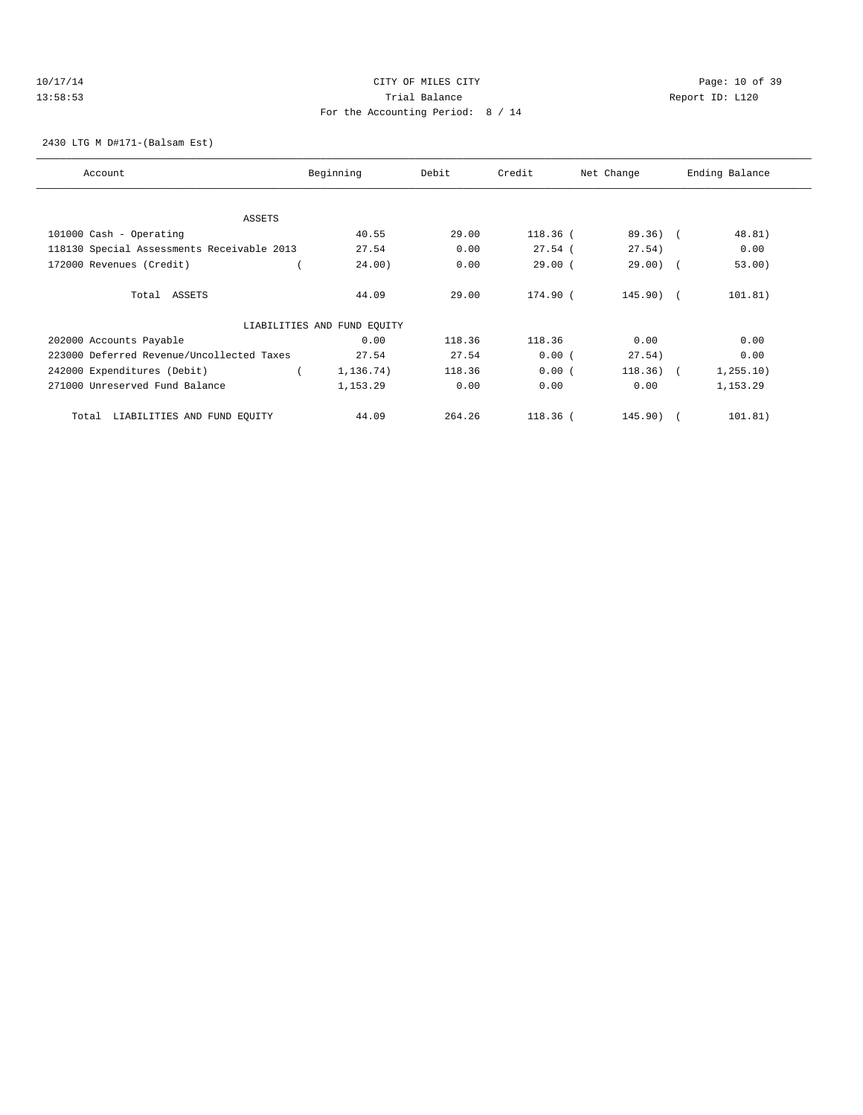## 10/17/14 Page: 10 of 39 13:58:53 Trial Balance Report ID: L120 For the Accounting Period: 8 / 14

2430 LTG M D#171-(Balsam Est)

| Account                                    | Beginning                   | Debit  | Credit     | Net Change  | Ending Balance |
|--------------------------------------------|-----------------------------|--------|------------|-------------|----------------|
| ASSETS                                     |                             |        |            |             |                |
| 101000 Cash - Operating                    | 40.55                       | 29.00  | $118.36$ ( | $89.36)$ (  | 48.81)         |
| 118130 Special Assessments Receivable 2013 | 27.54                       | 0.00   | $27.54$ (  | 27.54)      | 0.00           |
| 172000 Revenues (Credit)                   | 24.00)                      | 0.00   | 29.00(     | $29.00$ ) ( | 53.00)         |
|                                            |                             |        |            |             |                |
| Total ASSETS                               | 44.09                       | 29.00  | 174.90 (   | $145.90$ (  | 101.81)        |
|                                            | LIABILITIES AND FUND EQUITY |        |            |             |                |
| 202000 Accounts Payable                    | 0.00                        | 118.36 | 118.36     | 0.00        | 0.00           |
| 223000 Deferred Revenue/Uncollected Taxes  | 27.54                       | 27.54  | 0.00(      | 27.54)      | 0.00           |
| 242000 Expenditures (Debit)                | 1,136.74)                   | 118.36 | 0.00(      | $118.36)$ ( | 1, 255.10)     |
| 271000 Unreserved Fund Balance             | 1,153.29                    | 0.00   | 0.00       | 0.00        | 1,153.29       |
| LIABILITIES AND FUND EQUITY<br>Total       | 44.09                       | 264.26 | $118.36$ ( | $145.90$ (  | 101.81)        |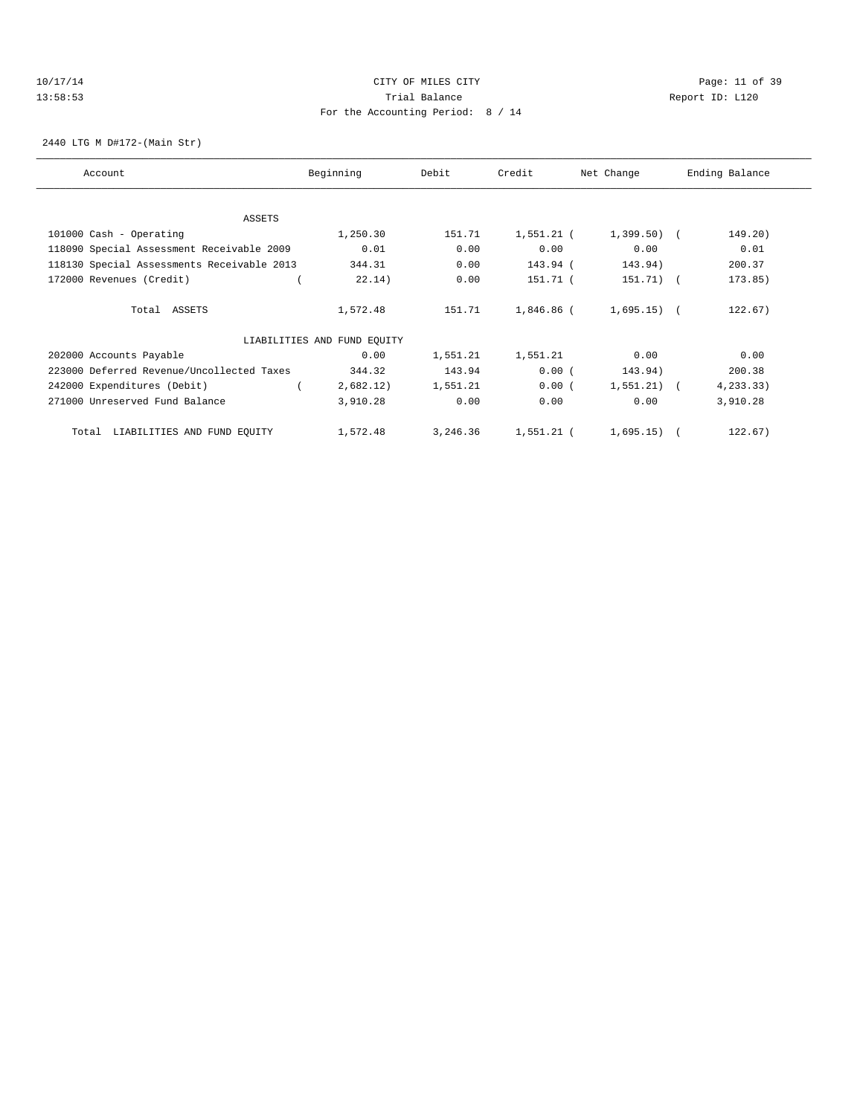## 10/17/14 Page: 11 of 39 13:58:53 Trial Balance Report ID: L120 For the Accounting Period: 8 / 14

2440 LTG M D#172-(Main Str)

| Account                                    | Beginning                   | Debit    | Credit       | Net Change     | Ending Balance |
|--------------------------------------------|-----------------------------|----------|--------------|----------------|----------------|
|                                            |                             |          |              |                |                |
| ASSETS                                     |                             |          |              |                |                |
| 101000 Cash - Operating                    | 1,250.30                    | 151.71   | $1,551.21$ ( | $1,399.50$ (   | 149.20)        |
| 118090 Special Assessment Receivable 2009  | 0.01                        | 0.00     | 0.00         | 0.00           | 0.01           |
| 118130 Special Assessments Receivable 2013 | 344.31                      | 0.00     | 143.94 (     | 143.94)        | 200.37         |
| 172000 Revenues (Credit)                   | 22.14)                      | 0.00     | 151.71 (     | 151.71)        | 173.85)        |
| Total ASSETS                               | 1,572.48                    | 151.71   | 1,846.86 (   | $1,695.15$ (   | 122.67)        |
|                                            | LIABILITIES AND FUND EQUITY |          |              |                |                |
| 202000 Accounts Payable                    | 0.00                        | 1,551.21 | 1,551.21     | 0.00           | 0.00           |
| 223000 Deferred Revenue/Uncollected Taxes  | 344.32                      | 143.94   | 0.00(        | 143.94)        | 200.38         |
| 242000 Expenditures (Debit)                | 2,682.12)                   | 1,551.21 | 0.00(        | 1,551.21)      | 4, 233.33)     |
| 271000 Unreserved Fund Balance             | 3,910.28                    | 0.00     | 0.00         | 0.00           | 3,910.28       |
| LIABILITIES AND FUND EQUITY<br>Total       | 1,572.48                    | 3,246.36 | 1,551.21 (   | $1,695.15$ ) ( | 122.67)        |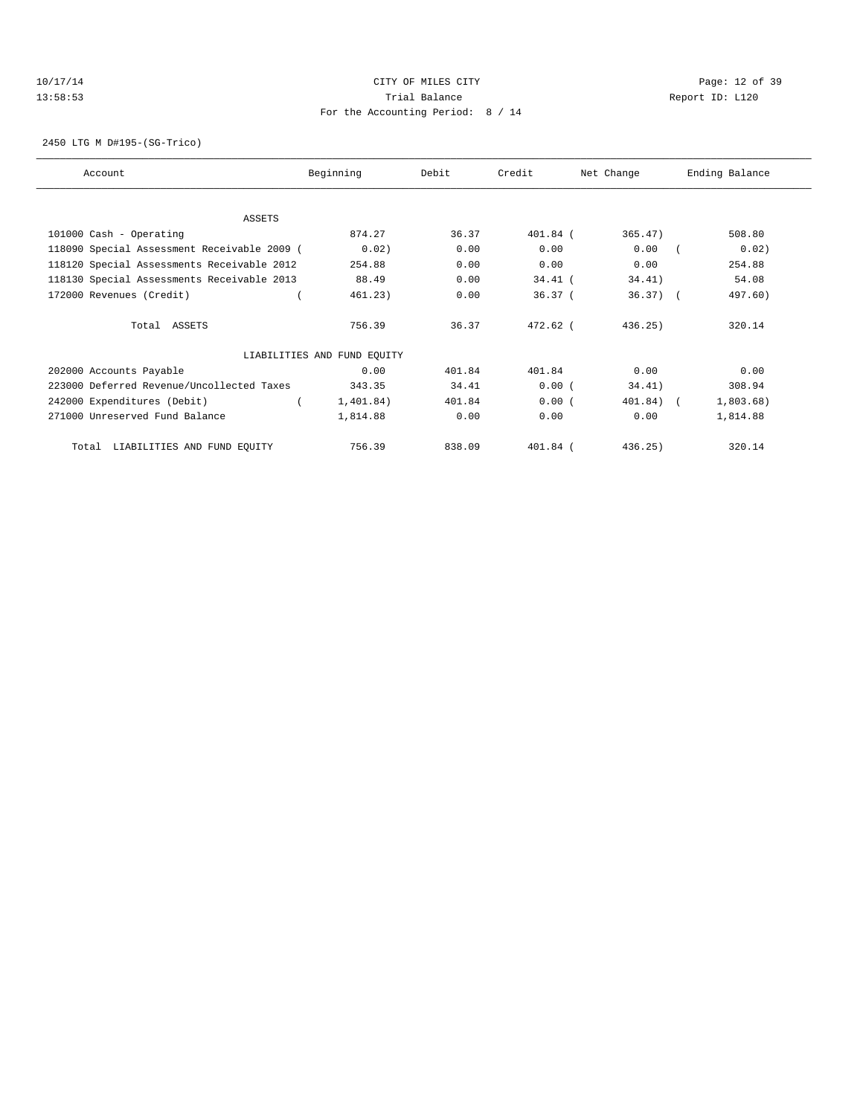## 10/17/14 Page: 12 of 39 13:58:53 Trial Balance Report ID: L120 For the Accounting Period: 8 / 14

2450 LTG M D#195-(SG-Trico)

| Account                                     | Beginning                   | Debit  | Credit     | Net Change | Ending Balance |
|---------------------------------------------|-----------------------------|--------|------------|------------|----------------|
|                                             |                             |        |            |            |                |
| ASSETS                                      |                             |        |            |            |                |
| 101000 Cash - Operating                     | 874.27                      | 36.37  | 401.84 (   | 365.47)    | 508.80         |
| 118090 Special Assessment Receivable 2009 ( | 0.02)                       | 0.00   | 0.00       | 0.00       | 0.02)          |
| 118120 Special Assessments Receivable 2012  | 254.88                      | 0.00   | 0.00       | 0.00       | 254.88         |
| 118130 Special Assessments Receivable 2013  | 88.49                       | 0.00   | $34.41$ (  | 34.41)     | 54.08          |
| 172000 Revenues (Credit)                    | 461.23)                     | 0.00   | 36.37(     | $36.37$ (  | 497.60)        |
| Total ASSETS                                | 756.39                      | 36.37  | $472.62$ ( | 436.25)    | 320.14         |
|                                             | LIABILITIES AND FUND EQUITY |        |            |            |                |
| 202000 Accounts Payable                     | 0.00                        | 401.84 | 401.84     | 0.00       | 0.00           |
| 223000 Deferred Revenue/Uncollected Taxes   | 343.35                      | 34.41  | 0.00(      | 34.41)     | 308.94         |
| 242000 Expenditures (Debit)                 | 1,401.84)                   | 401.84 | 0.00(      | 401.84) (  | 1,803.68)      |
| 271000 Unreserved Fund Balance              | 1,814.88                    | 0.00   | 0.00       | 0.00       | 1,814.88       |
| LIABILITIES AND FUND EQUITY<br>Total        | 756.39                      | 838.09 | 401.84 (   | 436.25)    | 320.14         |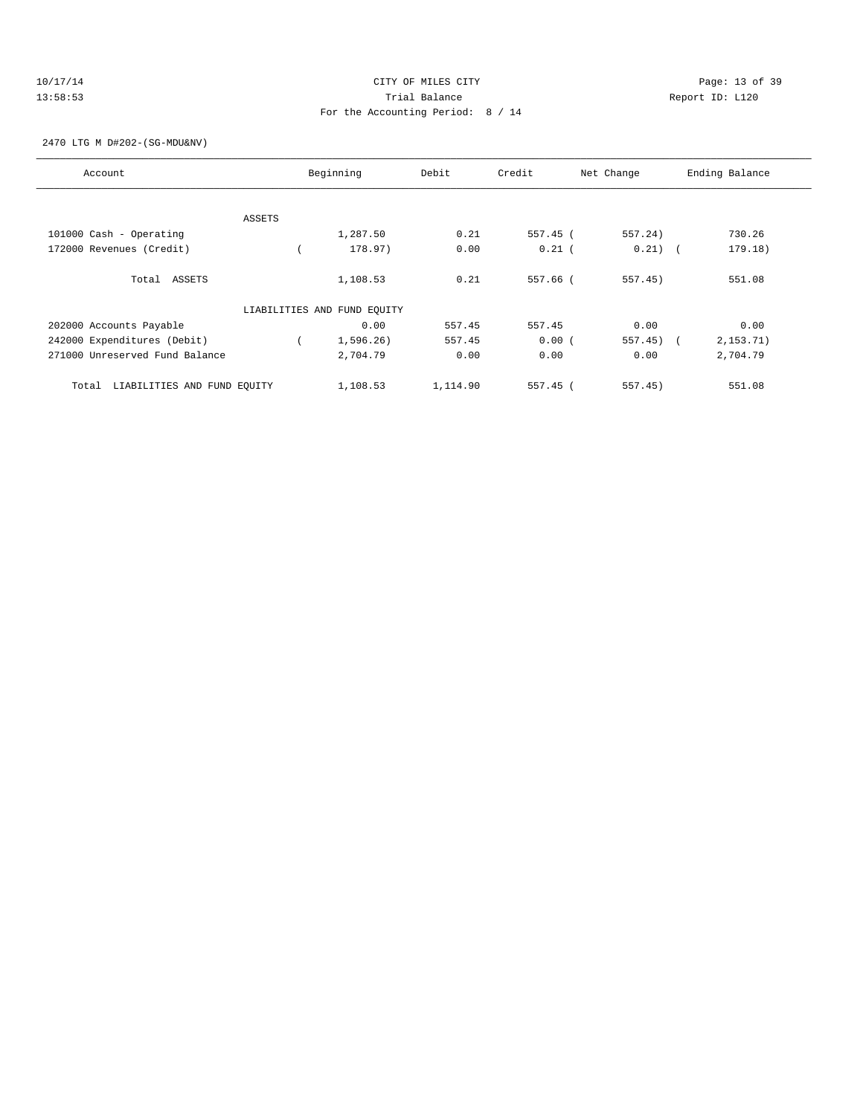## 10/17/14 Page: 13 of 39 13:58:53 Trial Balance Report ID: L120 For the Accounting Period: 8 / 14

2470 LTG M D#202-(SG-MDU&NV)

| Account                              |        | Beginning                   | Debit    | Credit     | Net Change | Ending Balance |
|--------------------------------------|--------|-----------------------------|----------|------------|------------|----------------|
|                                      |        |                             |          |            |            |                |
|                                      | ASSETS |                             |          |            |            |                |
| 101000 Cash - Operating              |        | 1,287.50                    | 0.21     | 557.45 (   | 557.24)    | 730.26         |
| 172000 Revenues (Credit)             |        | 178.97)                     | 0.00     | $0.21$ (   | $0.21)$ (  | 179.18)        |
| Total ASSETS                         |        | 1,108.53                    | 0.21     | 557.66 (   | 557.45)    | 551.08         |
|                                      |        | LIABILITIES AND FUND EQUITY |          |            |            |                |
| 202000 Accounts Payable              |        | 0.00                        | 557.45   | 557.45     | 0.00       | 0.00           |
| 242000 Expenditures (Debit)          |        | 1,596.26)                   | 557.45   | 0.00(      | $557.45$ ( | 2, 153.71)     |
| 271000 Unreserved Fund Balance       |        | 2,704.79                    | 0.00     | 0.00       | 0.00       | 2,704.79       |
| LIABILITIES AND FUND EOUITY<br>Total |        | 1,108.53                    | 1,114.90 | $557.45$ ( | $557.45$ ) | 551.08         |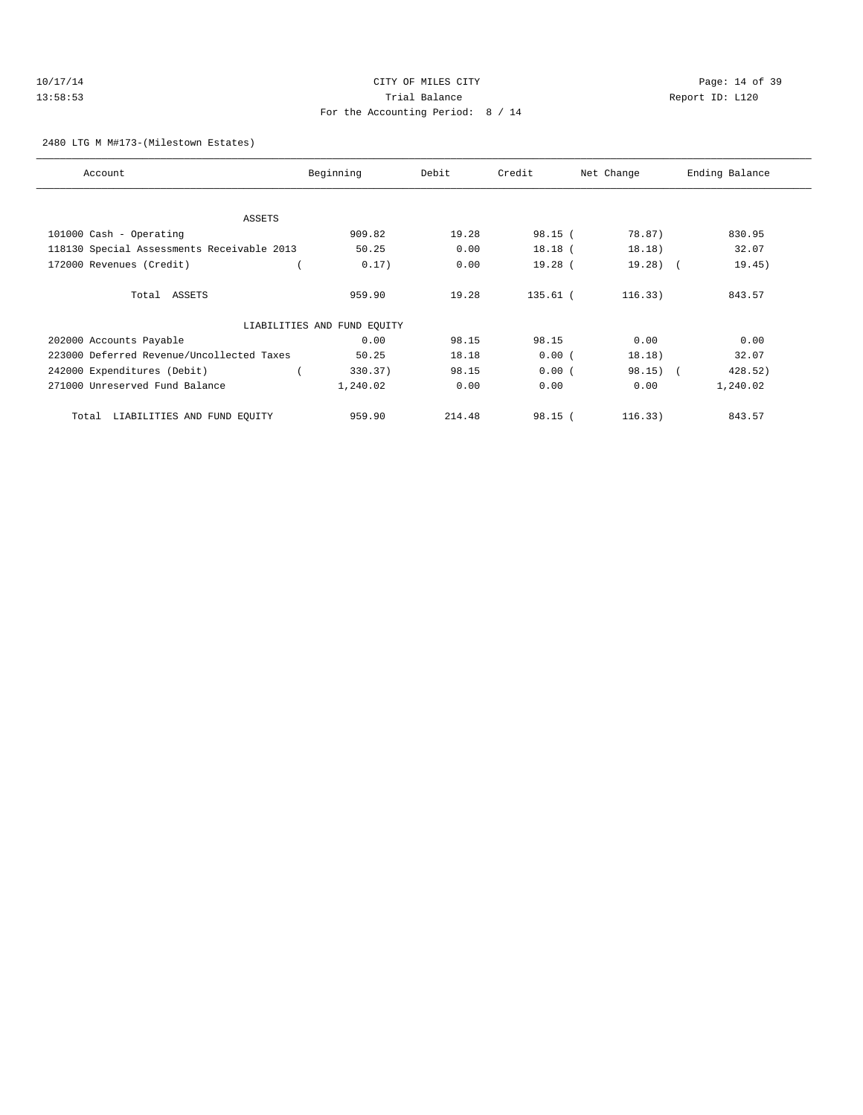## 10/17/14 Page: 14 of 39 13:58:53 Trial Balance Report ID: L120 For the Accounting Period: 8 / 14

#### 2480 LTG M M#173-(Milestown Estates)

| Account                                    | Beginning                   | Debit  | Credit     | Net Change | Ending Balance |
|--------------------------------------------|-----------------------------|--------|------------|------------|----------------|
|                                            |                             |        |            |            |                |
| ASSETS                                     |                             |        |            |            |                |
| 101000 Cash - Operating                    | 909.82                      | 19.28  | 98.15(     | 78.87)     | 830.95         |
| 118130 Special Assessments Receivable 2013 | 50.25                       | 0.00   | $18.18$ (  | 18.18)     | 32.07          |
| 172000 Revenues (Credit)                   | 0.17)                       | 0.00   | $19.28$ (  | $19.28$ (  | 19.45)         |
| Total ASSETS                               | 959.90                      | 19.28  | $135.61$ ( | 116.33)    | 843.57         |
|                                            | LIABILITIES AND FUND EQUITY |        |            |            |                |
| 202000 Accounts Payable                    | 0.00                        | 98.15  | 98.15      | 0.00       | 0.00           |
| 223000 Deferred Revenue/Uncollected Taxes  | 50.25                       | 18.18  | 0.00(      | 18.18)     | 32.07          |
| 242000 Expenditures (Debit)                | 330.37)                     | 98.15  | 0.00(      | $98.15)$ ( | 428.52)        |
| 271000 Unreserved Fund Balance             | 1,240.02                    | 0.00   | 0.00       | 0.00       | 1,240.02       |
| LIABILITIES AND FUND EQUITY<br>Total       | 959.90                      | 214.48 | 98.15(     | 116.33)    | 843.57         |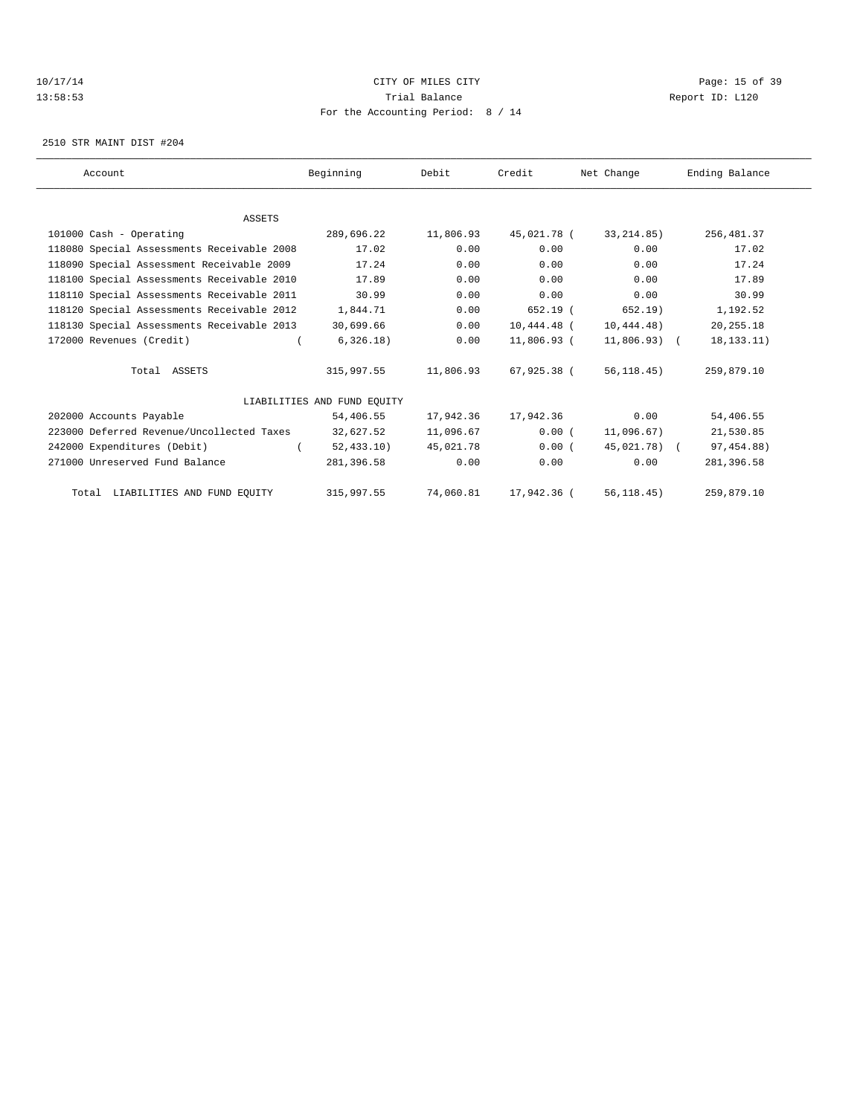## 10/17/14 Page: 15 of 39 13:58:53 Trial Balance Report ID: L120 For the Accounting Period: 8 / 14

2510 STR MAINT DIST #204

| Account                                    | Beginning                   | Debit     | Credit        | Net Change   | Ending Balance |
|--------------------------------------------|-----------------------------|-----------|---------------|--------------|----------------|
|                                            |                             |           |               |              |                |
| <b>ASSETS</b>                              |                             |           |               |              |                |
| 101000 Cash - Operating                    | 289,696.22                  | 11,806.93 | 45,021.78 (   | 33, 214.85)  | 256, 481.37    |
| 118080 Special Assessments Receivable 2008 | 17.02                       | 0.00      | 0.00          | 0.00         | 17.02          |
| 118090 Special Assessment Receivable 2009  | 17.24                       | 0.00      | 0.00          | 0.00         | 17.24          |
| 118100 Special Assessments Receivable 2010 | 17.89                       | 0.00      | 0.00          | 0.00         | 17.89          |
| 118110 Special Assessments Receivable 2011 | 30.99                       | 0.00      | 0.00          | 0.00         | 30.99          |
| 118120 Special Assessments Receivable 2012 | 1,844.71                    | 0.00      | $652.19$ (    | 652.19)      | 1,192.52       |
| 118130 Special Assessments Receivable 2013 | 30,699.66                   | 0.00      | $10,444.48$ ( | 10,444.48)   | 20, 255. 18    |
| 172000 Revenues (Credit)                   | 6,326.18)                   | 0.00      | 11,806.93 (   | 11,806.93) ( | 18, 133. 11)   |
| Total ASSETS                               | 315,997.55                  | 11,806.93 | 67,925.38 (   | 56, 118.45)  | 259,879.10     |
|                                            | LIABILITIES AND FUND EOUITY |           |               |              |                |
| 202000 Accounts Payable                    | 54,406.55                   | 17,942.36 | 17,942.36     | 0.00         | 54,406.55      |
| 223000 Deferred Revenue/Uncollected Taxes  | 32,627.52                   | 11,096.67 | 0.00(         | 11,096.67)   | 21,530.85      |
| 242000 Expenditures (Debit)                | 52, 433.10                  | 45,021.78 | 0.00(         | 45,021.78) ( | 97, 454.88)    |
| 271000 Unreserved Fund Balance             | 281,396.58                  | 0.00      | 0.00          | 0.00         | 281,396.58     |
| Total LIABILITIES AND FUND EQUITY          | 315,997.55                  | 74,060.81 | 17,942.36 (   | 56, 118.45)  | 259,879.10     |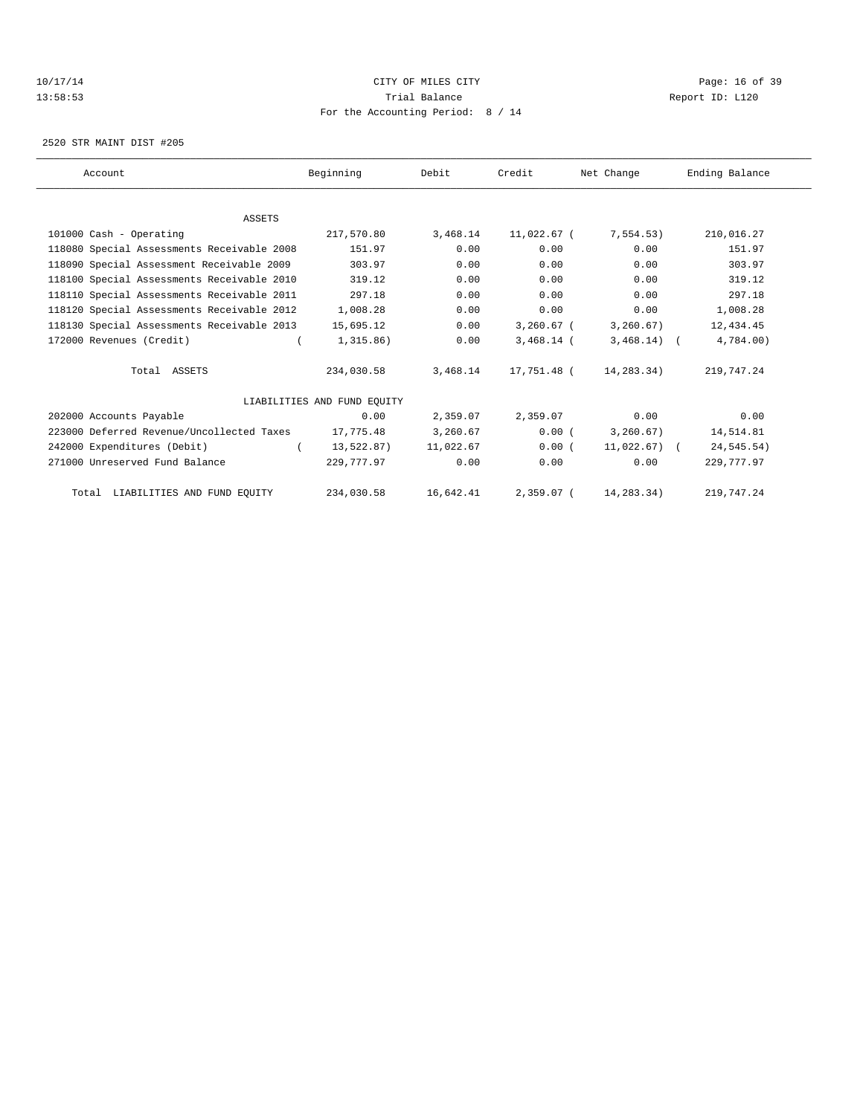## 10/17/14 Page: 16 of 39 13:58:53 Trial Balance Report ID: L120 For the Accounting Period: 8 / 14

2520 STR MAINT DIST #205

| Account                                    | Beginning                   | Debit     | Credit       | Net Change    | Ending Balance |
|--------------------------------------------|-----------------------------|-----------|--------------|---------------|----------------|
|                                            |                             |           |              |               |                |
| <b>ASSETS</b>                              |                             |           |              |               |                |
| 101000 Cash - Operating                    | 217,570.80                  | 3,468.14  | 11,022.67 (  | 7,554.53)     | 210,016.27     |
| 118080 Special Assessments Receivable 2008 | 151.97                      | 0.00      | 0.00         | 0.00          | 151.97         |
| 118090 Special Assessment Receivable 2009  | 303.97                      | 0.00      | 0.00         | 0.00          | 303.97         |
| 118100 Special Assessments Receivable 2010 | 319.12                      | 0.00      | 0.00         | 0.00          | 319.12         |
| 118110 Special Assessments Receivable 2011 | 297.18                      | 0.00      | 0.00         | 0.00          | 297.18         |
| 118120 Special Assessments Receivable 2012 | 1,008.28                    | 0.00      | 0.00         | 0.00          | 1,008.28       |
| 118130 Special Assessments Receivable 2013 | 15,695.12                   | 0.00      | 3,260.67 (   | 3,260.67)     | 12,434.45      |
| 172000 Revenues (Credit)                   | 1,315.86)                   | 0.00      | $3,468.14$ ( | $3,468.14)$ ( | 4,784.00)      |
| Total ASSETS                               | 234,030.58                  | 3,468.14  | 17,751.48 (  | 14,283.34)    | 219,747.24     |
|                                            | LIABILITIES AND FUND EQUITY |           |              |               |                |
| 202000 Accounts Payable                    | 0.00                        | 2,359.07  | 2,359.07     | 0.00          | 0.00           |
| 223000 Deferred Revenue/Uncollected Taxes  | 17,775.48                   | 3,260.67  | 0.00(        | 3, 260.67)    | 14,514.81      |
| 242000 Expenditures (Debit)                | 13,522.87)                  | 11,022.67 | 0.00(        | 11,022.67) (  | 24,545.54)     |
| 271000 Unreserved Fund Balance             | 229,777.97                  | 0.00      | 0.00         | 0.00          | 229, 777.97    |
| Total LIABILITIES AND FUND EQUITY          | 234,030.58                  | 16,642.41 | 2,359.07 (   | 14,283.34)    | 219,747.24     |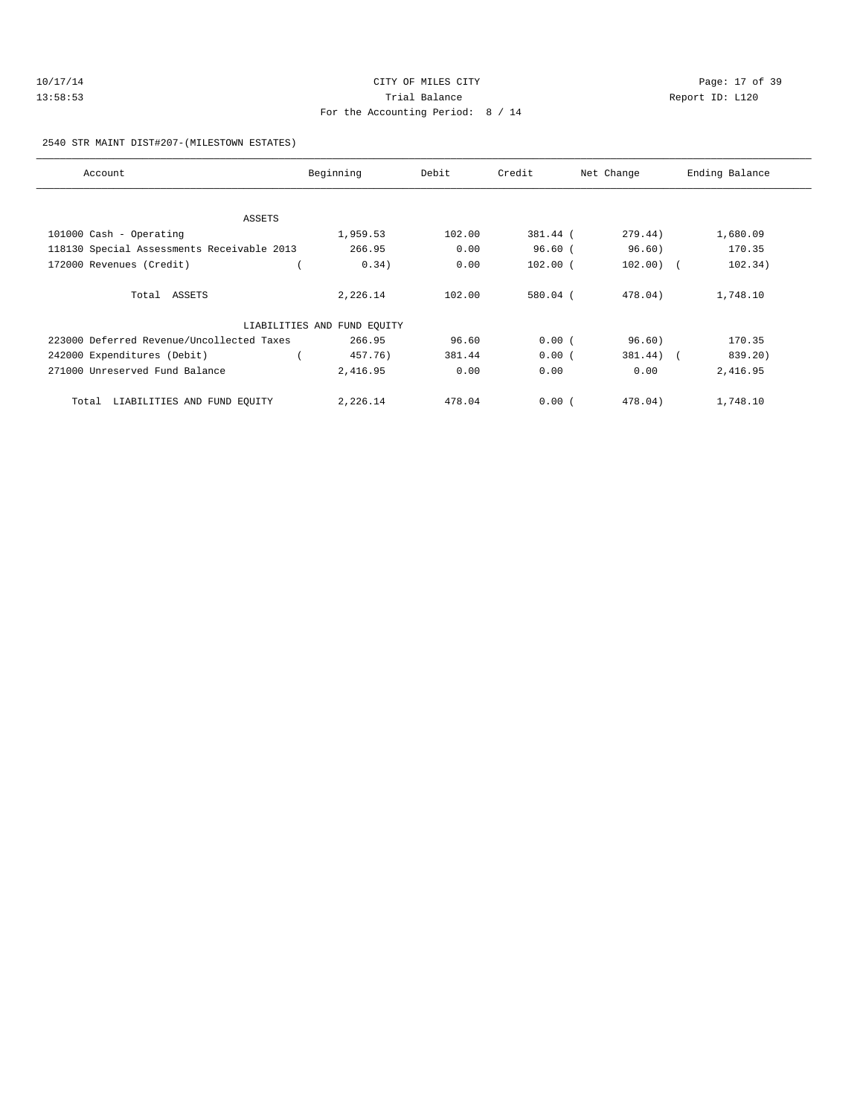| 10/17/14 | CITY OF MILES CITY                | Page: 17 of 39  |
|----------|-----------------------------------|-----------------|
| 13:58:53 | Trial Balance                     | Report ID: L120 |
|          | For the Accounting Period: 8 / 14 |                 |

2540 STR MAINT DIST#207-(MILESTOWN ESTATES)

| Account                                    | Beginning                   | Debit  | Credit     | Net Change  | Ending Balance |
|--------------------------------------------|-----------------------------|--------|------------|-------------|----------------|
|                                            |                             |        |            |             |                |
| ASSETS                                     |                             |        |            |             |                |
| $101000$ Cash - Operating                  | 1,959.53                    | 102.00 | 381.44 (   | 279.44)     | 1,680.09       |
| 118130 Special Assessments Receivable 2013 | 266.95                      | 0.00   | 96.60(     | 96.60)      | 170.35         |
| 172000 Revenues (Credit)                   | 0.34)                       | 0.00   | $102.00$ ( | $102.00)$ ( | 102.34)        |
| Total ASSETS                               | 2,226.14                    | 102.00 | $580.04$ ( | 478.04)     | 1,748.10       |
|                                            | LIABILITIES AND FUND EQUITY |        |            |             |                |
| 223000 Deferred Revenue/Uncollected Taxes  | 266.95                      | 96.60  | 0.00(      | 96.60)      | 170.35         |
| 242000 Expenditures (Debit)                | 457.76)                     | 381.44 | 0.00(      | $381.44)$ ( | 839.20)        |
| 271000 Unreserved Fund Balance             | 2,416.95                    | 0.00   | 0.00       | 0.00        | 2,416.95       |
| LIABILITIES AND FUND EQUITY<br>Total       | 2,226.14                    | 478.04 | 0.00(      | 478.04)     | 1,748.10       |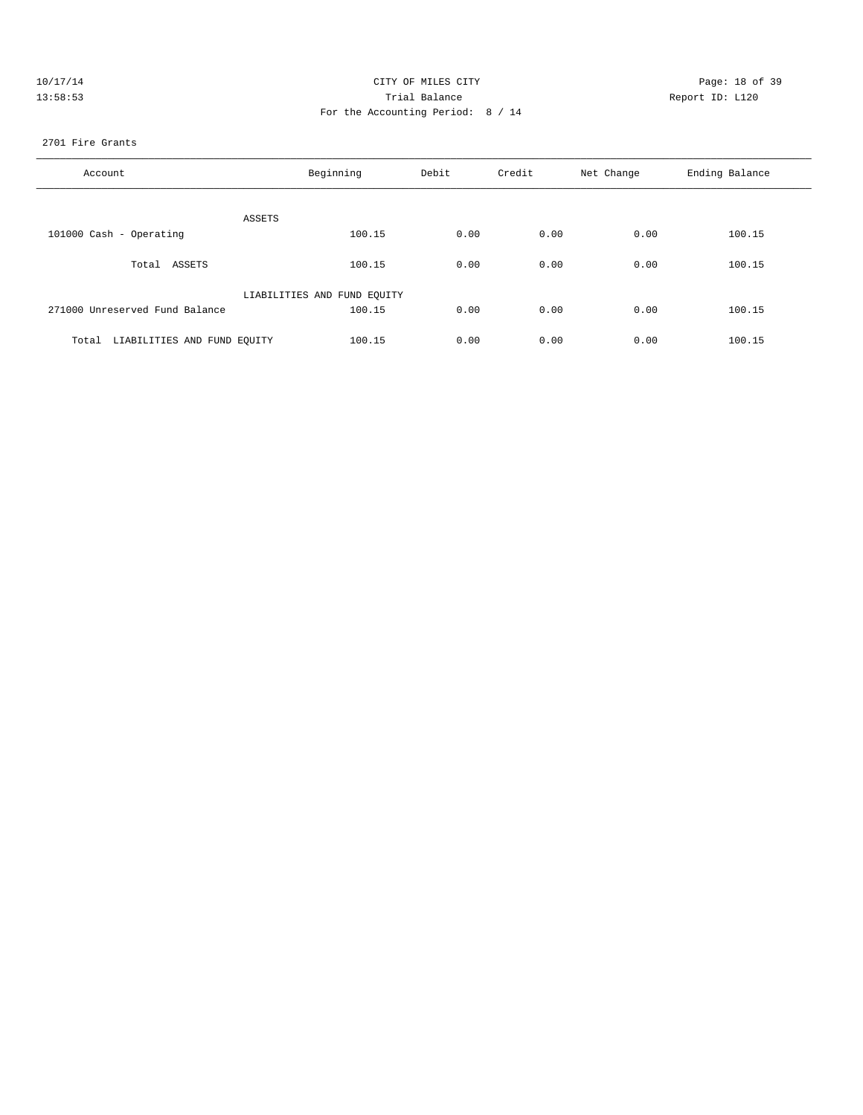| 10/17/14 | CITY OF MILES CITY                | Page: 18 of 39  |
|----------|-----------------------------------|-----------------|
| 13:58:53 | Trial Balance                     | Report ID: L120 |
|          | For the Accounting Period: 8 / 14 |                 |
|          |                                   |                 |

### 2701 Fire Grants

| Account                              | Beginning                   | Debit | Credit | Net Change | Ending Balance |
|--------------------------------------|-----------------------------|-------|--------|------------|----------------|
| ASSETS                               |                             |       |        |            |                |
| 101000 Cash - Operating              | 100.15                      | 0.00  | 0.00   | 0.00       | 100.15         |
| Total ASSETS                         | 100.15                      | 0.00  | 0.00   | 0.00       | 100.15         |
|                                      | LIABILITIES AND FUND EQUITY |       |        |            |                |
| 271000 Unreserved Fund Balance       | 100.15                      | 0.00  | 0.00   | 0.00       | 100.15         |
| LIABILITIES AND FUND EQUITY<br>Total | 100.15                      | 0.00  | 0.00   | 0.00       | 100.15         |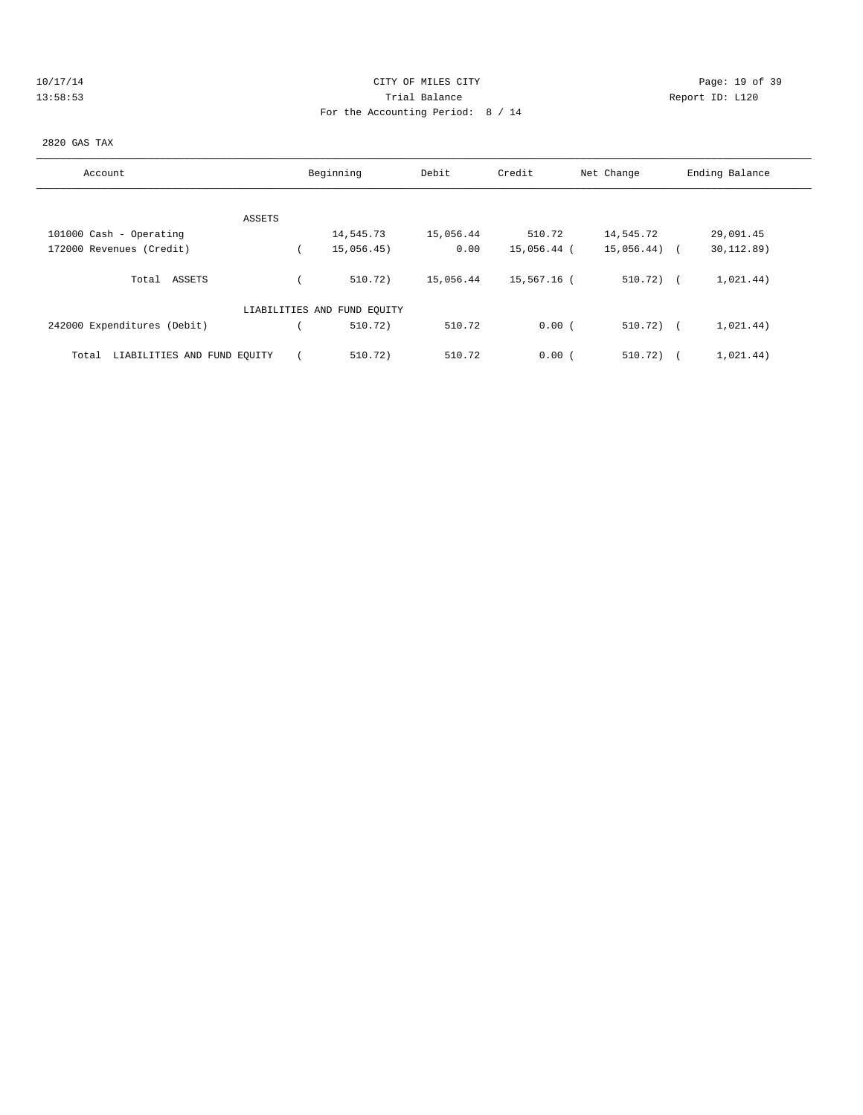| ш | n<br>× | . . |   |  |  |
|---|--------|-----|---|--|--|
|   |        |     | u |  |  |

# Page: 19 of 39 13:58:53 Trial Balance Report ID: L120 For the Accounting Period: 8 / 14

# 2820 GAS TAX

| Account                              |        | Beginning                   | Debit     | Credit      | Net Change   | Ending Balance |
|--------------------------------------|--------|-----------------------------|-----------|-------------|--------------|----------------|
|                                      |        |                             |           |             |              |                |
|                                      | ASSETS |                             |           |             |              |                |
| 101000 Cash - Operating              |        | 14,545.73                   | 15,056.44 | 510.72      | 14,545.72    | 29,091.45      |
| 172000 Revenues (Credit)             |        | 15,056.45)                  | 0.00      | 15,056.44 ( | 15,056.44) ( | 30, 112.89)    |
|                                      |        |                             |           |             |              |                |
| Total ASSETS                         |        | 510.72)                     | 15,056.44 | 15,567.16 ( | $510.72$ ) ( | 1,021.44)      |
|                                      |        |                             |           |             |              |                |
|                                      |        | LIABILITIES AND FUND EQUITY |           |             |              |                |
| 242000 Expenditures (Debit)          |        | 510.72)                     | 510.72    | 0.00(       | $510.72$ ) ( | 1,021.44)      |
|                                      |        |                             |           |             |              |                |
| LIABILITIES AND FUND EQUITY<br>Total |        | 510.72)                     | 510.72    | 0.00(       | 510.72)      | 1,021.44)      |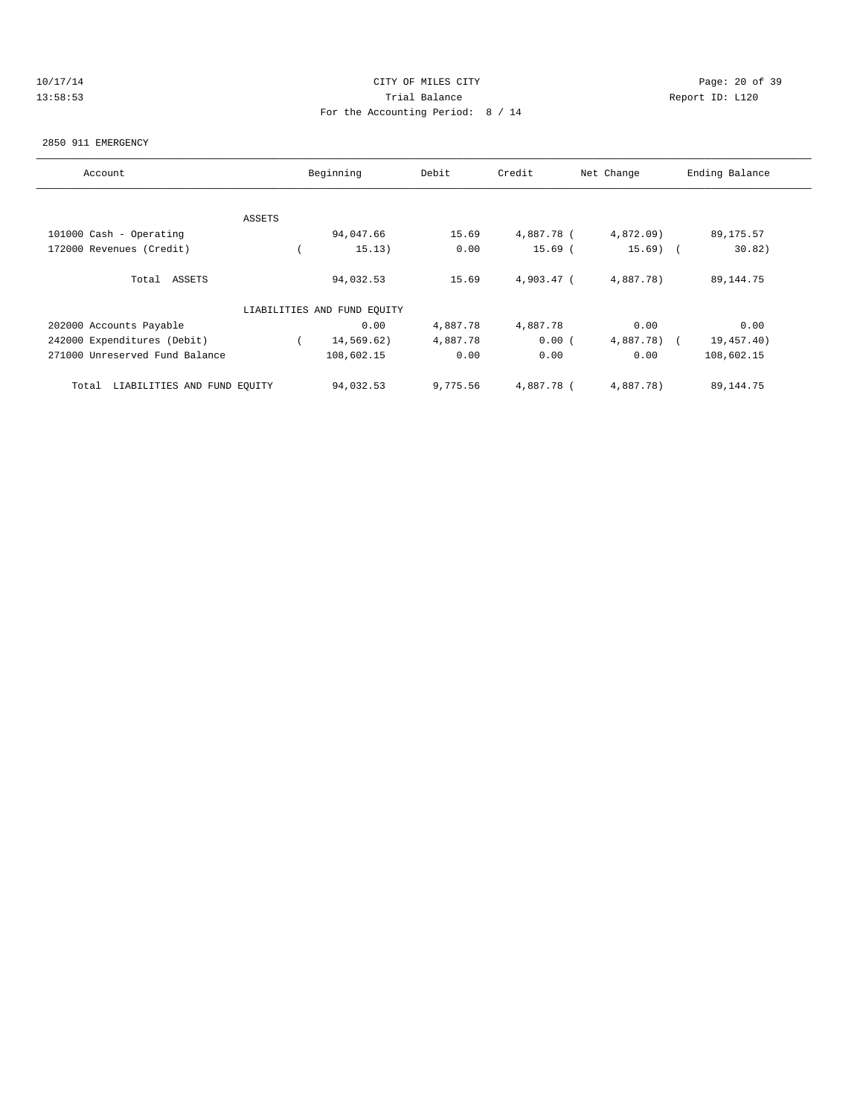| $\pm 0$ | 7 L |  |  |  |
|---------|-----|--|--|--|
|         |     |  |  |  |

# Page: 20 of 39 13:58:53 Trial Balance Report ID: L120 For the Accounting Period: 8 / 14

## 2850 911 EMERGENCY

| Account                              |        | Beginning                   | Debit    | Credit     | Net Change   | Ending Balance |
|--------------------------------------|--------|-----------------------------|----------|------------|--------------|----------------|
|                                      |        |                             |          |            |              |                |
|                                      | ASSETS |                             |          |            |              |                |
| 101000 Cash - Operating              |        | 94,047.66                   | 15.69    | 4,887.78 ( | 4,872.09)    | 89,175.57      |
| 172000 Revenues (Credit)             |        | 15.13)                      | 0.00     | $15.69$ (  | $15.69$ (    | 30.82)         |
| Total ASSETS                         |        | 94,032.53                   | 15.69    | 4,903.47 ( | 4,887.78)    | 89, 144. 75    |
|                                      |        | LIABILITIES AND FUND EQUITY |          |            |              |                |
| 202000 Accounts Payable              |        | 0.00                        | 4,887.78 | 4,887.78   | 0.00         | 0.00           |
| 242000 Expenditures (Debit)          |        | 14,569.62)                  | 4,887.78 | 0.00(      | $4,887.78$ ( | 19,457.40)     |
| 271000 Unreserved Fund Balance       |        | 108,602.15                  | 0.00     | 0.00       | 0.00         | 108,602.15     |
| LIABILITIES AND FUND EQUITY<br>Total |        | 94,032.53                   | 9,775.56 | 4,887.78 ( | 4,887.78)    | 89, 144. 75    |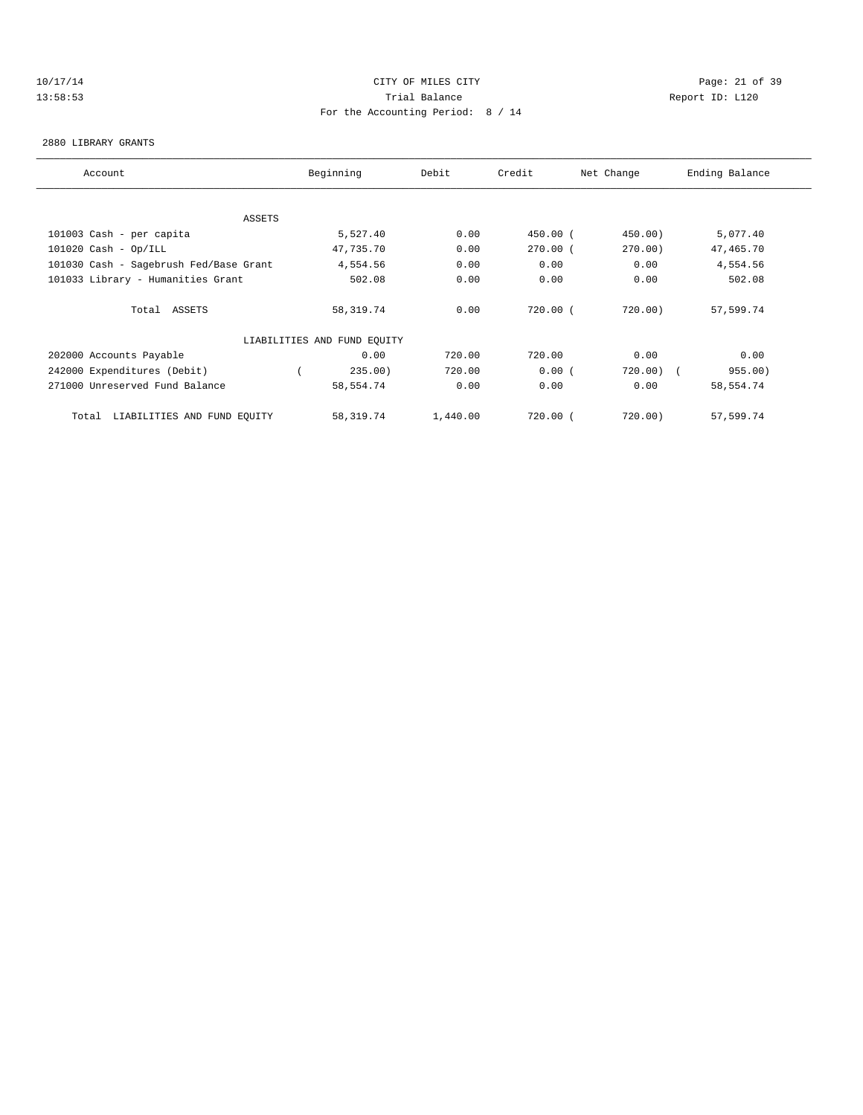## 10/17/14 Page: 21 of 39 13:58:53 Trial Balance Report ID: L120 For the Accounting Period: 8 / 14

#### 2880 LIBRARY GRANTS

| Account                                | Beginning                   | Debit    | Credit     | Net Change  | Ending Balance |
|----------------------------------------|-----------------------------|----------|------------|-------------|----------------|
|                                        |                             |          |            |             |                |
| <b>ASSETS</b>                          |                             |          |            |             |                |
| 101003 Cash - per capita               | 5,527.40                    | 0.00     | $450.00$ ( | 450.00)     | 5,077.40       |
| $101020$ Cash - Op/ILL                 | 47,735.70                   | 0.00     | $270.00$ ( | 270.00)     | 47,465.70      |
| 101030 Cash - Sagebrush Fed/Base Grant | 4,554.56                    | 0.00     | 0.00       | 0.00        | 4,554.56       |
| 101033 Library - Humanities Grant      | 502.08                      | 0.00     | 0.00       | 0.00        | 502.08         |
| Total ASSETS                           | 58, 319.74                  | 0.00     | 720.00(    | 720.00)     | 57,599.74      |
|                                        | LIABILITIES AND FUND EQUITY |          |            |             |                |
| 202000 Accounts Payable                | 0.00                        | 720.00   | 720.00     | 0.00        | 0.00           |
| 242000 Expenditures (Debit)            | 235.00)                     | 720.00   | 0.00(      | $720.00)$ ( | 955.00)        |
| 271000 Unreserved Fund Balance         | 58,554.74                   | 0.00     | 0.00       | 0.00        | 58,554.74      |
| LIABILITIES AND FUND EQUITY<br>Total   | 58,319.74                   | 1,440.00 | 720.00(    | 720.00)     | 57,599.74      |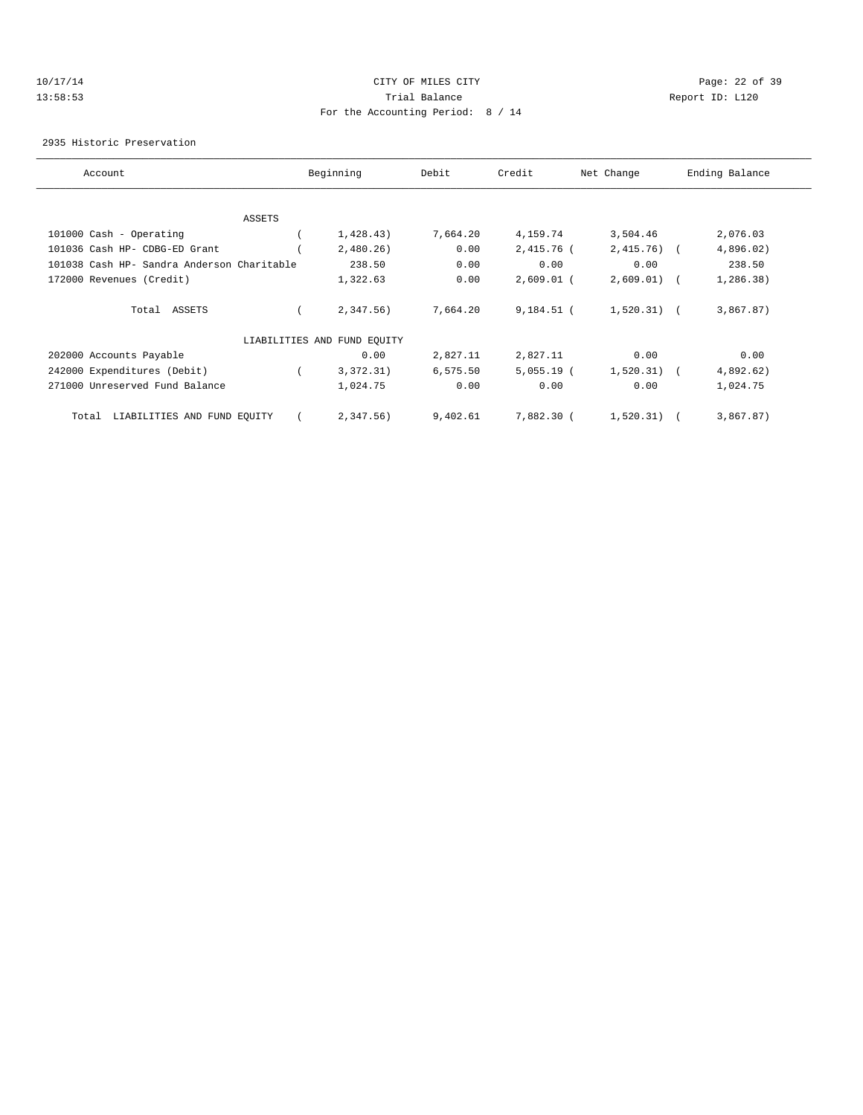## 10/17/14 Page: 22 of 39 13:58:53 Trial Balance Report ID: L120 For the Accounting Period: 8 / 14

2935 Historic Preservation

| Account                                    | Beginning                   | Debit    | Credit       | Net Change   | Ending Balance |
|--------------------------------------------|-----------------------------|----------|--------------|--------------|----------------|
|                                            |                             |          |              |              |                |
| ASSETS                                     |                             |          |              |              |                |
| 101000 Cash - Operating                    | 1,428.43)                   | 7,664.20 | 4,159.74     | 3,504.46     | 2,076.03       |
| 101036 Cash HP- CDBG-ED Grant              | 2,480.26                    | 0.00     | 2,415.76 (   | $2,415.76$ ( | 4,896.02)      |
| 101038 Cash HP- Sandra Anderson Charitable | 238.50                      | 0.00     | 0.00         | 0.00         | 238.50         |
| 172000 Revenues (Credit)                   | 1,322.63                    | 0.00     | $2,609.01$ ( | 2,609.01)    | 1,286.38)      |
| Total ASSETS                               | 2,347.56)                   | 7,664.20 | $9,184.51$ ( | $1,520.31$ ( | 3,867.87)      |
|                                            | LIABILITIES AND FUND EQUITY |          |              |              |                |
| 202000 Accounts Payable                    | 0.00                        | 2,827.11 | 2,827.11     | 0.00         | 0.00           |
| 242000 Expenditures (Debit)                | 3,372.31)                   | 6,575.50 | $5,055.19$ ( | $1,520.31$ ( | 4,892.62)      |
| 271000 Unreserved Fund Balance             | 1,024.75                    | 0.00     | 0.00         | 0.00         | 1,024.75       |
| LIABILITIES AND FUND EQUITY<br>Total       | 2,347.56)                   | 9,402.61 | 7,882.30 (   | 1,520.31)    | 3,867.87)      |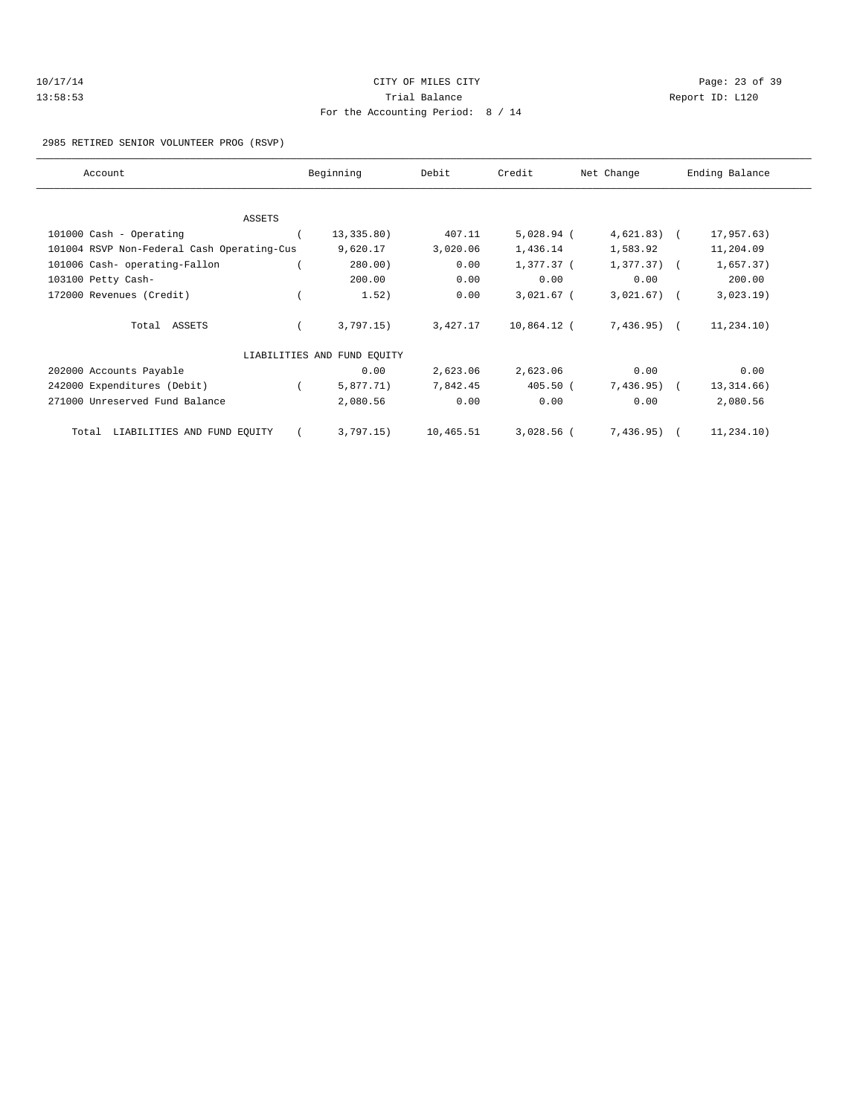| 10/17/14 | CITY OF MILES CITY                | Page: 23 of 39 |  |
|----------|-----------------------------------|----------------|--|
| 13:58:53 | Trial Balance<br>Report ID: L120  |                |  |
|          | For the Accounting Period: 8 / 14 |                |  |

2985 RETIRED SENIOR VOLUNTEER PROG (RSVP)

| Account                                    | Beginning                   | Debit     | Credit       | Net Change    | Ending Balance |
|--------------------------------------------|-----------------------------|-----------|--------------|---------------|----------------|
|                                            |                             |           |              |               |                |
| ASSETS                                     |                             |           |              |               |                |
| 101000 Cash - Operating                    | 13,335.80)                  | 407.11    | $5,028.94$ ( | $4,621.83$ (  | 17,957.63)     |
| 101004 RSVP Non-Federal Cash Operating-Cus | 9,620.17                    | 3,020.06  | 1,436.14     | 1,583.92      | 11,204.09      |
| 101006 Cash- operating-Fallon              | 280.00)                     | 0.00      | 1,377.37 (   | $1,377.37)$ ( | 1,657.37)      |
| 103100 Petty Cash-                         | 200.00                      | 0.00      | 0.00         | 0.00          | 200.00         |
| 172000 Revenues (Credit)                   | 1.52)                       | 0.00      | $3,021.67$ ( | 3,021.67)     | 3,023.19)      |
| Total ASSETS                               | 3,797.15)                   | 3,427.17  | 10,864.12 (  | $7,436.95)$ ( | 11, 234.10)    |
|                                            | LIABILITIES AND FUND EQUITY |           |              |               |                |
| 202000 Accounts Payable                    | 0.00                        | 2,623.06  | 2,623.06     | 0.00          | 0.00           |
| 242000 Expenditures (Debit)                | 5,877.71)                   | 7,842.45  | $405.50$ (   | 7,436.95)     | 13, 314.66)    |
| 271000 Unreserved Fund Balance             | 2,080.56                    | 0.00      | 0.00         | 0.00          | 2,080.56       |
| LIABILITIES AND FUND EQUITY<br>Total       | 3,797.15)                   | 10,465.51 | $3,028.56$ ( | $7,436.95)$ ( | 11,234.10)     |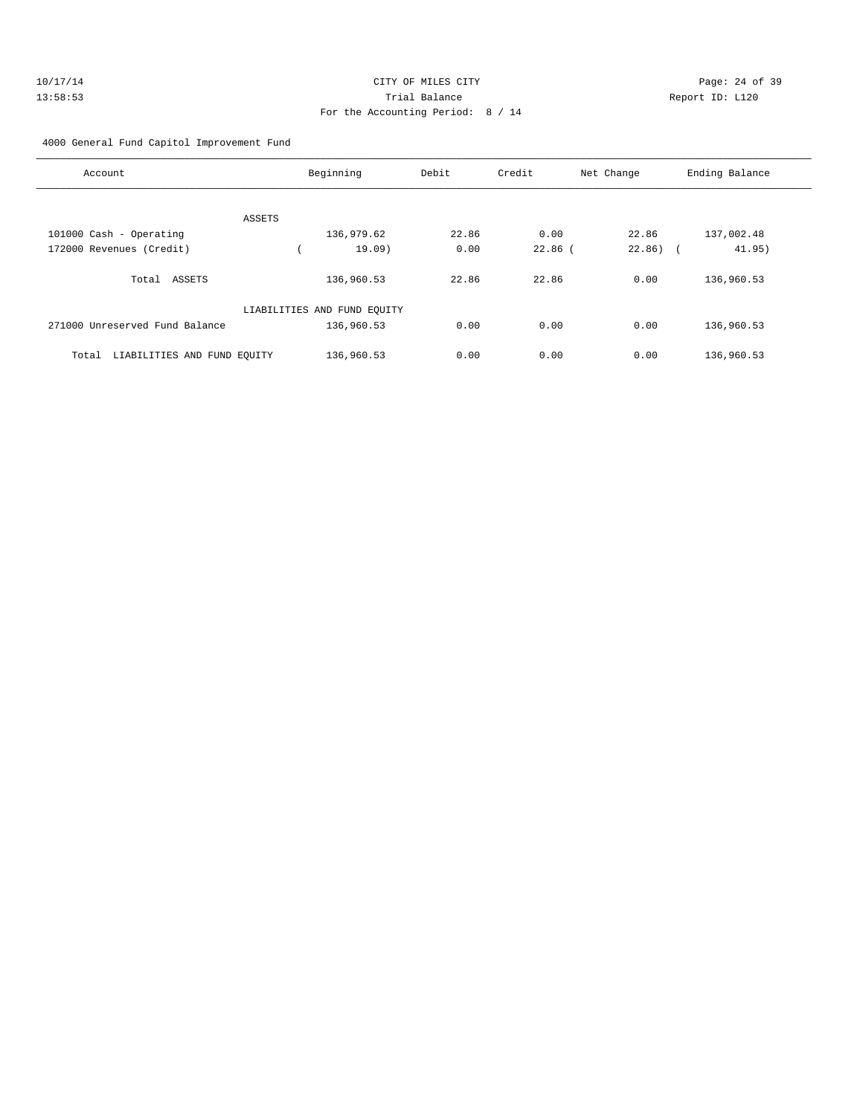| 10/17/14 | CITY OF MILES CITY                | Page: 24 of 39  |  |
|----------|-----------------------------------|-----------------|--|
| 13:58:53 | Trial Balance                     | Report ID: L120 |  |
|          | For the Accounting Period: 8 / 14 |                 |  |

4000 General Fund Capitol Improvement Fund

| Account                              | Beginning                   | Debit | Credit    | Net Change | Ending Balance       |
|--------------------------------------|-----------------------------|-------|-----------|------------|----------------------|
|                                      |                             |       |           |            |                      |
| ASSETS                               |                             |       |           |            |                      |
| 101000 Cash - Operating              | 136,979.62                  | 22.86 | 0.00      | 22.86      | 137,002.48           |
| 172000 Revenues (Credit)             | 19.09                       | 0.00  | $22.86$ ( | 22.86)     | 41.95)<br>$\sqrt{2}$ |
| ASSETS<br>Total                      | 136,960.53                  | 22.86 | 22.86     | 0.00       | 136,960.53           |
|                                      | LIABILITIES AND FUND EQUITY |       |           |            |                      |
| 271000 Unreserved Fund Balance       | 136,960.53                  | 0.00  | 0.00      | 0.00       | 136,960.53           |
| LIABILITIES AND FUND EQUITY<br>Total | 136,960.53                  | 0.00  | 0.00      | 0.00       | 136,960.53           |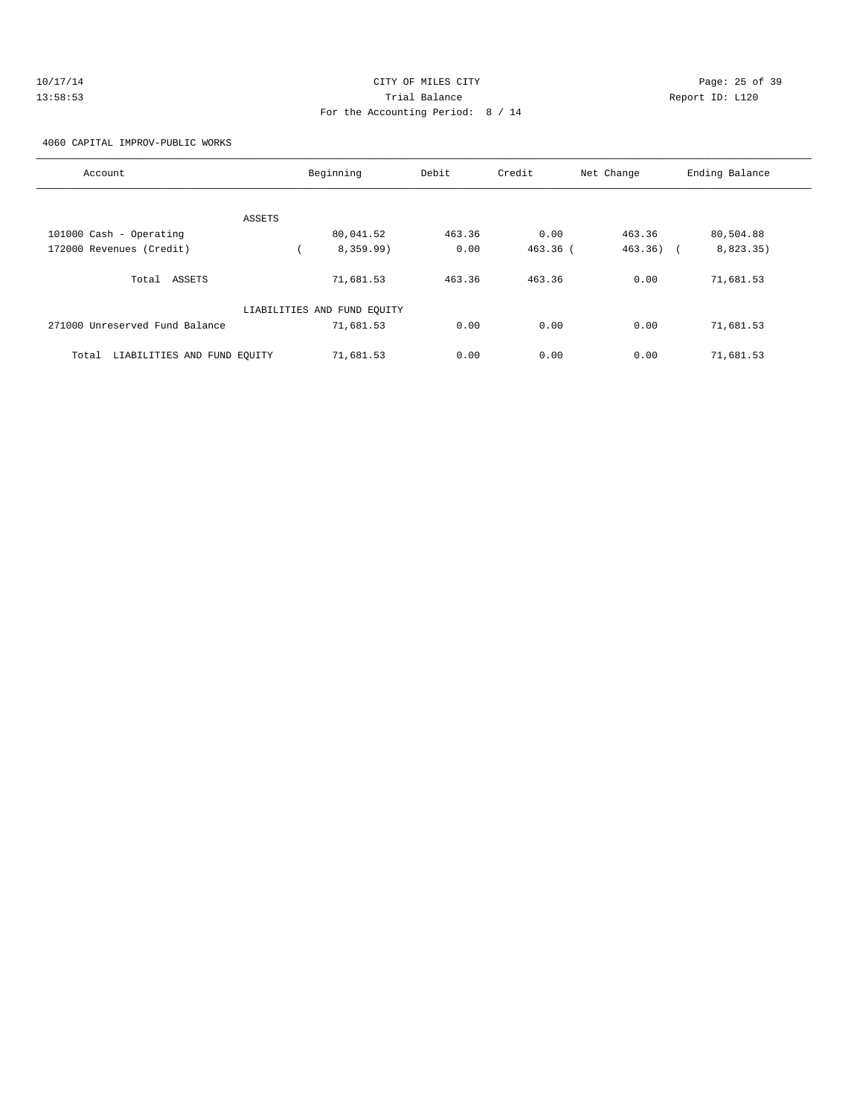| 10/17/14 | CITY OF MILES CITY                | Page: 25 of 39  |
|----------|-----------------------------------|-----------------|
| 13:58:53 | Trial Balance                     | Report ID: L120 |
|          | For the Accounting Period: 8 / 14 |                 |

4060 CAPITAL IMPROV-PUBLIC WORKS

| Account                              | Beginning |                             | Debit  | Credit   | Net Change            | Ending Balance |
|--------------------------------------|-----------|-----------------------------|--------|----------|-----------------------|----------------|
| ASSETS                               |           |                             |        |          |                       |                |
| 101000 Cash - Operating              |           | 80,041.52                   | 463.36 | 0.00     | 463.36                | 80,504.88      |
| 172000 Revenues (Credit)             |           | 8,359.99)                   | 0.00   | 463.36 ( | 463.36)<br>$\sqrt{2}$ | 8,823.35)      |
| Total ASSETS                         |           | 71,681.53                   | 463.36 | 463.36   | 0.00                  | 71,681.53      |
|                                      |           | LIABILITIES AND FUND EQUITY |        |          |                       |                |
| 271000 Unreserved Fund Balance       |           | 71,681.53                   | 0.00   | 0.00     | 0.00                  | 71,681.53      |
| LIABILITIES AND FUND EQUITY<br>Total |           | 71,681.53                   | 0.00   | 0.00     | 0.00                  | 71,681.53      |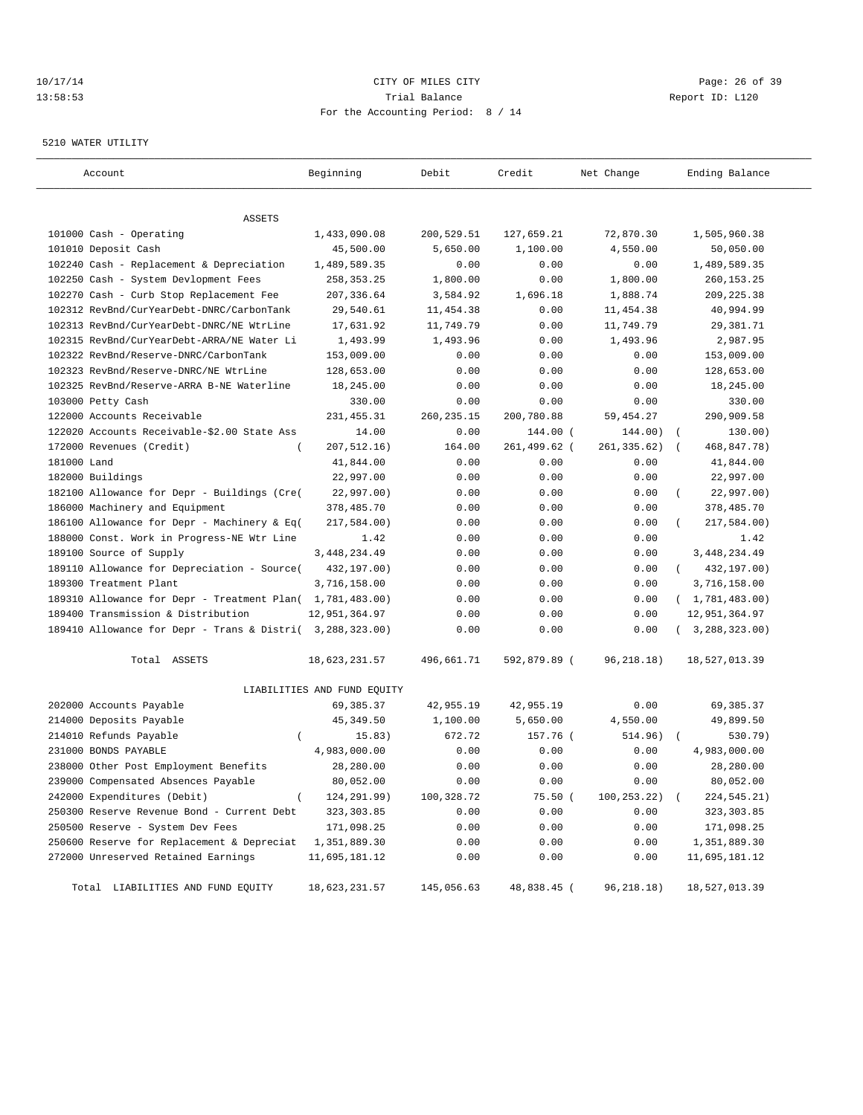## 10/17/14 Page: 26 of 39 13:58:53 Trial Balance Report ID: L120 For the Accounting Period: 8 / 14

#### 5210 WATER UTILITY

| Account                                                   | Beginning                   | Debit       | Credit       | Net Change      | Ending Balance          |
|-----------------------------------------------------------|-----------------------------|-------------|--------------|-----------------|-------------------------|
|                                                           |                             |             |              |                 |                         |
| ASSETS                                                    |                             |             |              |                 |                         |
| 101000 Cash - Operating                                   | 1,433,090.08                | 200,529.51  | 127,659.21   | 72,870.30       | 1,505,960.38            |
| 101010 Deposit Cash                                       | 45,500.00                   | 5,650.00    | 1,100.00     | 4,550.00        | 50,050.00               |
| 102240 Cash - Replacement & Depreciation                  | 1,489,589.35                | 0.00        | 0.00         | 0.00            | 1,489,589.35            |
| 102250 Cash - System Devlopment Fees                      | 258, 353. 25                | 1,800.00    | 0.00         | 1,800.00        | 260, 153. 25            |
| 102270 Cash - Curb Stop Replacement Fee                   | 207,336.64                  | 3,584.92    | 1,696.18     | 1,888.74        | 209, 225.38             |
| 102312 RevBnd/CurYearDebt-DNRC/CarbonTank                 | 29,540.61                   | 11,454.38   | 0.00         | 11,454.38       | 40,994.99               |
| 102313 RevBnd/CurYearDebt-DNRC/NE WtrLine                 | 17,631.92                   | 11,749.79   | 0.00         | 11,749.79       | 29, 381.71              |
| 102315 RevBnd/CurYearDebt-ARRA/NE Water Li                | 1,493.99                    | 1,493.96    | 0.00         | 1,493.96        | 2,987.95                |
| 102322 RevBnd/Reserve-DNRC/CarbonTank                     | 153,009.00                  | 0.00        | 0.00         | 0.00            | 153,009.00              |
| 102323 RevBnd/Reserve-DNRC/NE WtrLine                     | 128,653.00                  | 0.00        | 0.00         | 0.00            | 128,653.00              |
| 102325 RevBnd/Reserve-ARRA B-NE Waterline                 | 18,245.00                   | 0.00        | 0.00         | 0.00            | 18,245.00               |
| 103000 Petty Cash                                         | 330.00                      | 0.00        | 0.00         | 0.00            | 330.00                  |
| 122000 Accounts Receivable                                | 231, 455.31                 | 260, 235.15 | 200,780.88   | 59,454.27       | 290,909.58              |
| 122020 Accounts Receivable-\$2.00 State Ass               | 14.00                       | 0.00        | 144.00 (     | 144.00)         | 130.00)<br>$\sqrt{2}$   |
| 172000 Revenues (Credit)<br>$\overline{ }$                | 207, 512.16)                | 164.00      | 261,499.62 ( | 261, 335.62)    | 468,847.78)<br>$\left($ |
| 181000 Land                                               | 41,844.00                   | 0.00        | 0.00         | 0.00            | 41,844.00               |
| 182000 Buildings                                          | 22,997.00                   | 0.00        | 0.00         | 0.00            | 22,997.00               |
| 182100 Allowance for Depr - Buildings (Cre(               | 22,997.00)                  | 0.00        | 0.00         | 0.00            | 22,997.00)              |
| 186000 Machinery and Equipment                            | 378,485.70                  | 0.00        | 0.00         | 0.00            | 378,485.70              |
| 186100 Allowance for Depr - Machinery & Eq(               | 217,584.00)                 | 0.00        | 0.00         | 0.00            | 217,584.00)             |
| 188000 Const. Work in Progress-NE Wtr Line                | 1.42                        | 0.00        | 0.00         | 0.00            | 1.42                    |
| 189100 Source of Supply                                   | 3, 448, 234.49              | 0.00        | 0.00         | 0.00            | 3, 448, 234.49          |
| 189110 Allowance for Depreciation - Source(               | 432,197.00)                 | 0.00        | 0.00         | 0.00            | 432,197.00)<br>$\left($ |
| 189300 Treatment Plant                                    | 3,716,158.00                | 0.00        | 0.00         | 0.00            | 3,716,158.00            |
| 189310 Allowance for Depr - Treatment Plan( 1,781,483.00) |                             | 0.00        | 0.00         | 0.00            | (1, 781, 483.00)        |
| 189400 Transmission & Distribution                        | 12,951,364.97               | 0.00        | 0.00         | 0.00            | 12,951,364.97           |
| 189410 Allowance for Depr - Trans & Distri( 3,288,323.00) |                             | 0.00        | 0.00         | 0.00            | (3, 288, 323.00)        |
| Total ASSETS                                              | 18,623,231.57               | 496,661.71  | 592,879.89 ( | 96,218.18)      | 18,527,013.39           |
|                                                           | LIABILITIES AND FUND EQUITY |             |              |                 |                         |
| 202000 Accounts Payable                                   | 69,385.37                   | 42,955.19   | 42,955.19    | 0.00            | 69,385.37               |
| 214000 Deposits Payable                                   | 45, 349.50                  | 1,100.00    | 5,650.00     | 4,550.00        | 49,899.50               |
| 214010 Refunds Payable<br>$\left($                        | 15.83)                      | 672.72      | 157.76 (     | 514.96)         | 530.79)                 |
| 231000 BONDS PAYABLE                                      | 4,983,000.00                | 0.00        | 0.00         | 0.00            | 4,983,000.00            |
| 238000 Other Post Employment Benefits                     | 28,280.00                   | 0.00        | 0.00         | 0.00            | 28,280.00               |
| 239000 Compensated Absences Payable                       | 80,052.00                   | 0.00        | 0.00         | 0.00            | 80,052.00               |
| 242000 Expenditures (Debit)<br>$\left($                   | 124,291.99)                 | 100,328.72  | 75.50(       | $100, 253.22$ ( | 224,545.21)             |
| 250300 Reserve Revenue Bond - Current Debt                | 323, 303.85                 | 0.00        | 0.00         | 0.00            | 323,303.85              |
| 250500 Reserve - System Dev Fees                          | 171,098.25                  | 0.00        | 0.00         | 0.00            | 171,098.25              |
| 250600 Reserve for Replacement & Depreciat                | 1,351,889.30                | 0.00        | 0.00         | 0.00            | 1,351,889.30            |
| 272000 Unreserved Retained Earnings                       | 11,695,181.12               | 0.00        | 0.00         | 0.00            | 11,695,181.12           |
| Total LIABILITIES AND FUND EQUITY                         | 18,623,231.57               | 145,056.63  | 48,838.45 (  | 96,218.18)      | 18,527,013.39           |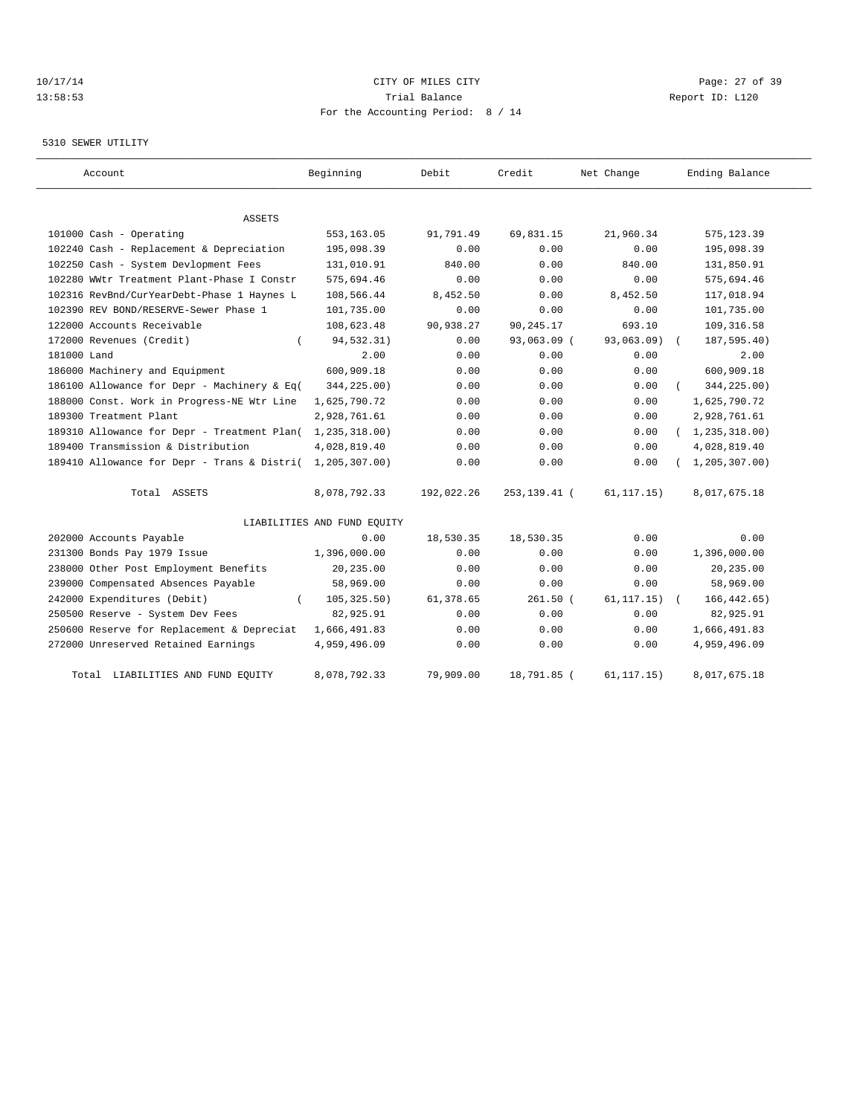## 10/17/14 Page: 27 of 39 13:58:53 Trial Balance Report ID: L120 For the Accounting Period: 8 / 14

#### 5310 SEWER UTILITY

| Account                                     | Beginning                   | Debit      | Credit         | Net Change   | Ending Balance   |
|---------------------------------------------|-----------------------------|------------|----------------|--------------|------------------|
|                                             |                             |            |                |              |                  |
| ASSETS                                      |                             |            |                |              |                  |
| 101000 Cash - Operating                     | 553,163.05                  | 91,791.49  | 69,831.15      | 21,960.34    | 575, 123.39      |
| 102240 Cash - Replacement & Depreciation    | 195,098.39                  | 0.00       | 0.00           | 0.00         | 195,098.39       |
| 102250 Cash - System Devlopment Fees        | 131,010.91                  | 840.00     | 0.00           | 840.00       | 131,850.91       |
| 102280 WWtr Treatment Plant-Phase I Constr  | 575,694.46                  | 0.00       | 0.00           | 0.00         | 575,694.46       |
| 102316 RevBnd/CurYearDebt-Phase 1 Haynes L  | 108,566.44                  | 8,452.50   | 0.00           | 8,452.50     | 117,018.94       |
| 102390 REV BOND/RESERVE-Sewer Phase 1       | 101,735.00                  | 0.00       | 0.00           | 0.00         | 101,735.00       |
| 122000 Accounts Receivable                  | 108,623.48                  | 90,938.27  | 90,245.17      | 693.10       | 109, 316.58      |
| 172000 Revenues (Credit)                    | 94,532.31)                  | 0.00       | 93,063.09 (    | 93,063.09)   | 187,595.40)      |
| 181000 Land                                 | 2.00                        | 0.00       | 0.00           | 0.00         | 2.00             |
| 186000 Machinery and Equipment              | 600,909.18                  | 0.00       | 0.00           | 0.00         | 600,909.18       |
| 186100 Allowance for Depr - Machinery & Eq( | 344,225.00)                 | 0.00       | 0.00           | 0.00         | 344,225.00)      |
| 188000 Const. Work in Progress-NE Wtr Line  | 1,625,790.72                | 0.00       | 0.00           | 0.00         | 1,625,790.72     |
| 189300 Treatment Plant                      | 2,928,761.61                | 0.00       | 0.00           | 0.00         | 2,928,761.61     |
| 189310 Allowance for Depr - Treatment Plan( | 1,235,318.00)               | 0.00       | 0.00           | 0.00         | (1, 235, 318.00) |
| 189400 Transmission & Distribution          | 4,028,819.40                | 0.00       | 0.00           | 0.00         | 4,028,819.40     |
| 189410 Allowance for Depr - Trans & Distri( | 1,205,307.00)               | 0.00       | 0.00           | 0.00         | 1, 205, 307.00   |
| Total ASSETS                                | 8,078,792.33                | 192,022.26 | 253, 139. 41 ( | 61, 117.15)  | 8,017,675.18     |
|                                             | LIABILITIES AND FUND EQUITY |            |                |              |                  |
| 202000 Accounts Payable                     | 0.00                        | 18,530.35  | 18,530.35      | 0.00         | 0.00             |
| 231300 Bonds Pay 1979 Issue                 | 1,396,000.00                | 0.00       | 0.00           | 0.00         | 1,396,000.00     |
| 238000 Other Post Employment Benefits       | 20,235.00                   | 0.00       | 0.00           | 0.00         | 20,235.00        |
| 239000 Compensated Absences Payable         | 58,969.00                   | 0.00       | 0.00           | 0.00         | 58,969.00        |
| 242000 Expenditures (Debit)                 | 105, 325.50)                | 61,378.65  | $261.50$ (     | 61, 117, 15) | 166, 442.65)     |
| 250500 Reserve - System Dev Fees            | 82,925.91                   | 0.00       | 0.00           | 0.00         | 82,925.91        |
| 250600 Reserve for Replacement & Depreciat  | 1,666,491.83                | 0.00       | 0.00           | 0.00         | 1,666,491.83     |
| 272000 Unreserved Retained Earnings         | 4,959,496.09                | 0.00       | 0.00           | 0.00         | 4,959,496.09     |
| LIABILITIES AND FUND EQUITY<br>Total        | 8,078,792.33                | 79,909.00  | 18,791.85 (    | 61, 117.15)  | 8,017,675.18     |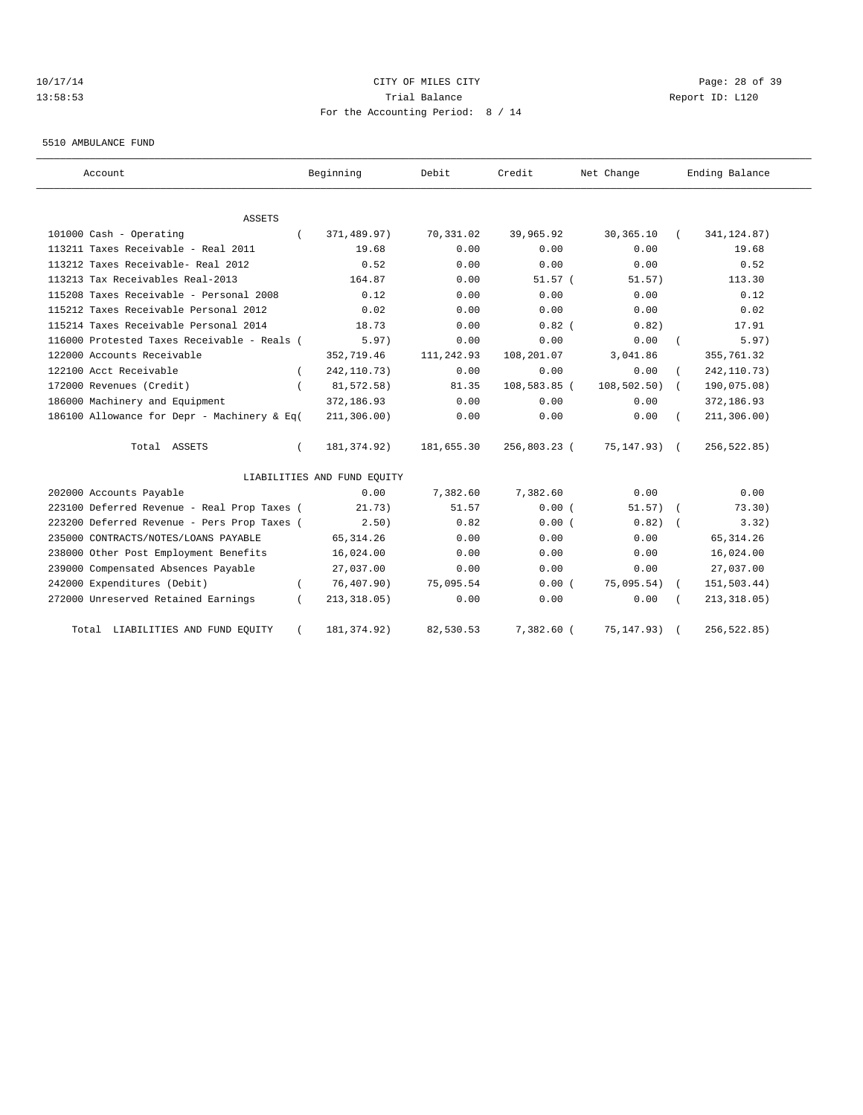# 10/17/14 Page: 28 of 39 13:58:53 Trial Balance Report ID: L120 For the Accounting Period: 8 / 14

5510 AMBULANCE FUND

| Account                                     | Beginning                   | Debit      | Credit       | Net Change      |          | Ending Balance |
|---------------------------------------------|-----------------------------|------------|--------------|-----------------|----------|----------------|
| <b>ASSETS</b>                               |                             |            |              |                 |          |                |
| 101000 Cash - Operating                     | 371,489.97)                 | 70,331.02  | 39,965.92    | 30,365.10       |          | 341, 124.87)   |
| 113211 Taxes Receivable - Real 2011         | 19.68                       | 0.00       | 0.00         | 0.00            |          | 19.68          |
| 113212 Taxes Receivable- Real 2012          | 0.52                        | 0.00       | 0.00         | 0.00            |          | 0.52           |
| 113213 Tax Receivables Real-2013            | 164.87                      | 0.00       | $51.57$ (    | 51.57)          |          | 113.30         |
| 115208 Taxes Receivable - Personal 2008     | 0.12                        | 0.00       | 0.00         | 0.00            |          | 0.12           |
| 115212 Taxes Receivable Personal 2012       | 0.02                        | 0.00       | 0.00         | 0.00            |          | 0.02           |
| 115214 Taxes Receivable Personal 2014       | 18.73                       | 0.00       | $0.82$ (     | 0.82)           |          | 17.91          |
| 116000 Protested Taxes Receivable - Reals ( | 5.97)                       | 0.00       | 0.00         | 0.00            | $\left($ | 5.97)          |
| 122000 Accounts Receivable                  | 352,719.46                  | 111,242.93 | 108,201.07   | 3,041.86        |          | 355,761.32     |
| 122100 Acct Receivable                      | 242, 110.73)                | 0.00       | 0.00         | 0.00            |          | 242, 110.73)   |
| 172000 Revenues (Credit)                    | 81,572.58)                  | 81.35      | 108,583.85 ( | 108, 502.50)    |          | 190,075.08)    |
| 186000 Machinery and Equipment              | 372,186.93                  | 0.00       | 0.00         | 0.00            |          | 372,186.93     |
| 186100 Allowance for Depr - Machinery & Eq( | 211, 306.00)                | 0.00       | 0.00         | 0.00            |          | 211, 306.00)   |
| Total ASSETS                                | 181, 374.92)                | 181,655.30 | 256,803.23 ( | $75, 147.93)$ ( |          | 256,522.85)    |
|                                             | LIABILITIES AND FUND EQUITY |            |              |                 |          |                |
| 202000 Accounts Payable                     | 0.00                        | 7,382.60   | 7.382.60     | 0.00            |          | 0.00           |
| 223100 Deferred Revenue - Real Prop Taxes ( | 21.73)                      | 51.57      | 0.00(        | 51.57)          |          | 73.30)         |
| 223200 Deferred Revenue - Pers Prop Taxes ( | 2.50)                       | 0.82       | 0.00(        | 0.82)           |          | 3.32)          |
| 235000 CONTRACTS/NOTES/LOANS PAYABLE        | 65, 314.26                  | 0.00       | 0.00         | 0.00            |          | 65, 314.26     |
| 238000 Other Post Employment Benefits       | 16,024.00                   | 0.00       | 0.00         | 0.00            |          | 16,024.00      |
| 239000 Compensated Absences Payable         | 27,037.00                   | 0.00       | 0.00         | 0.00            |          | 27,037.00      |
| 242000 Expenditures (Debit)                 | 76, 407.90)                 | 75,095.54  | 0.00(        | 75,095.54)      |          | 151,503.44)    |
| 272000 Unreserved Retained Earnings         | 213, 318.05)                | 0.00       | 0.00         | 0.00            |          | 213, 318.05)   |
| Total LIABILITIES AND FUND EQUITY           | 181, 374.92)                | 82,530.53  | 7,382.60 (   | 75, 147.93)     |          | 256, 522.85)   |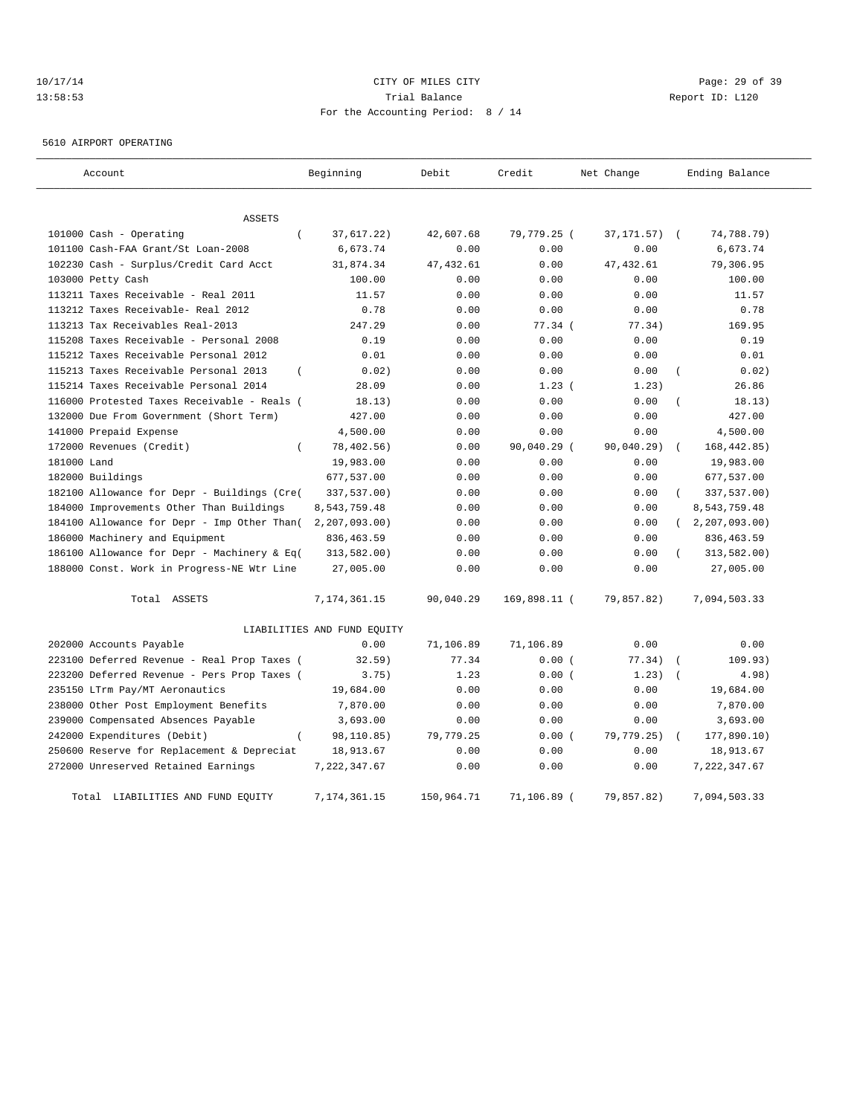## 10/17/14 Page: 29 of 39 13:58:53 Trial Balance Report ID: L120 For the Accounting Period: 8 / 14

5610 AIRPORT OPERATING

| Account                                           | Beginning                   | Debit      | Credit       | Net Change       | Ending Balance      |
|---------------------------------------------------|-----------------------------|------------|--------------|------------------|---------------------|
| <b>ASSETS</b>                                     |                             |            |              |                  |                     |
| 101000 Cash - Operating<br>$\left($               | 37,617.22)                  | 42,607.68  | 79,779.25 (  | $37, 171.57$ ) ( | 74,788.79)          |
| 101100 Cash-FAA Grant/St Loan-2008                | 6,673.74                    | 0.00       | 0.00         | 0.00             | 6,673.74            |
| 102230 Cash - Surplus/Credit Card Acct            | 31,874.34                   | 47, 432.61 | 0.00         | 47, 432.61       | 79,306.95           |
| 103000 Petty Cash                                 | 100.00                      | 0.00       | 0.00         | 0.00             | 100.00              |
| 113211 Taxes Receivable - Real 2011               | 11.57                       | 0.00       | 0.00         | 0.00             | 11.57               |
| 113212 Taxes Receivable- Real 2012                | 0.78                        | 0.00       | 0.00         | 0.00             | 0.78                |
| 113213 Tax Receivables Real-2013                  | 247.29                      | 0.00       | 77.34 (      | 77.34)           | 169.95              |
| 115208 Taxes Receivable - Personal 2008           | 0.19                        | 0.00       | 0.00         | 0.00             | 0.19                |
| 115212 Taxes Receivable Personal 2012             | 0.01                        | 0.00       | 0.00         | 0.00             | 0.01                |
| 115213 Taxes Receivable Personal 2013<br>$\left($ | 0.02)                       | 0.00       | 0.00         | 0.00             | 0.02)<br>$\left($   |
| 115214 Taxes Receivable Personal 2014             | 28.09                       | 0.00       | 1.23(        | 1.23)            | 26.86               |
| 116000 Protested Taxes Receivable - Reals (       | 18.13)                      | 0.00       | 0.00         | 0.00             | 18.13)              |
| 132000 Due From Government (Short Term)           | 427.00                      | 0.00       | 0.00         | 0.00             | 427.00              |
| 141000 Prepaid Expense                            | 4,500.00                    | 0.00       | 0.00         | 0.00             | 4,500.00            |
| 172000 Revenues (Credit)<br>$\left($              | 78,402.56)                  | 0.00       | 90,040.29 (  | 90,040.29)       | 168, 442.85)        |
| 181000 Land                                       | 19,983.00                   | 0.00       | 0.00         | 0.00             | 19,983.00           |
| 182000 Buildings                                  | 677,537.00                  | 0.00       | 0.00         | 0.00             | 677,537.00          |
| 182100 Allowance for Depr - Buildings (Cre(       | 337,537.00)                 | 0.00       | 0.00         | 0.00             | 337,537.00)         |
| 184000 Improvements Other Than Buildings          | 8,543,759.48                | 0.00       | 0.00         | 0.00             | 8,543,759.48        |
| 184100 Allowance for Depr - Imp Other Than(       | 2, 207, 093.00              | 0.00       | 0.00         | 0.00             | (2, 207, 093.00)    |
| 186000 Machinery and Equipment                    | 836, 463.59                 | 0.00       | 0.00         | 0.00             | 836, 463.59         |
| 186100 Allowance for Depr - Machinery & Eq(       | 313,582.00)                 | 0.00       | 0.00         | 0.00             | 313,582.00)         |
| 188000 Const. Work in Progress-NE Wtr Line        | 27,005.00                   | 0.00       | 0.00         | 0.00             | 27,005.00           |
| Total ASSETS                                      | 7, 174, 361. 15             | 90,040.29  | 169,898.11 ( | 79,857.82)       | 7,094,503.33        |
|                                                   | LIABILITIES AND FUND EQUITY |            |              |                  |                     |
| 202000 Accounts Payable                           | 0.00                        | 71,106.89  | 71,106.89    | 0.00             | 0.00                |
| 223100 Deferred Revenue - Real Prop Taxes (       | 32.59)                      | 77.34      | 0.00(        | 77.34)           | 109.93)             |
| 223200 Deferred Revenue - Pers Prop Taxes (       | 3.75)                       | 1.23       | 0.00(        | 1.23)            | 4.98)<br>$\sqrt{ }$ |
| 235150 LTrm Pay/MT Aeronautics                    | 19,684.00                   | 0.00       | 0.00         | 0.00             | 19,684.00           |
| 238000 Other Post Employment Benefits             | 7,870.00                    | 0.00       | 0.00         | 0.00             | 7,870.00            |
| 239000 Compensated Absences Payable               | 3,693.00                    | 0.00       | 0.00         | 0.00             | 3,693.00            |
| 242000 Expenditures (Debit)                       | 98,110.85)                  | 79,779.25  | 0.00(        | 79,779.25)       | 177,890.10)         |
| 250600 Reserve for Replacement & Depreciat        | 18,913.67                   | 0.00       | 0.00         | 0.00             | 18,913.67           |
| 272000 Unreserved Retained Earnings               | 7, 222, 347.67              | 0.00       | 0.00         | 0.00             | 7, 222, 347.67      |
| Total LIABILITIES AND FUND EQUITY                 | 7,174,361.15                | 150,964.71 | 71,106.89 (  | 79,857.82)       | 7,094,503.33        |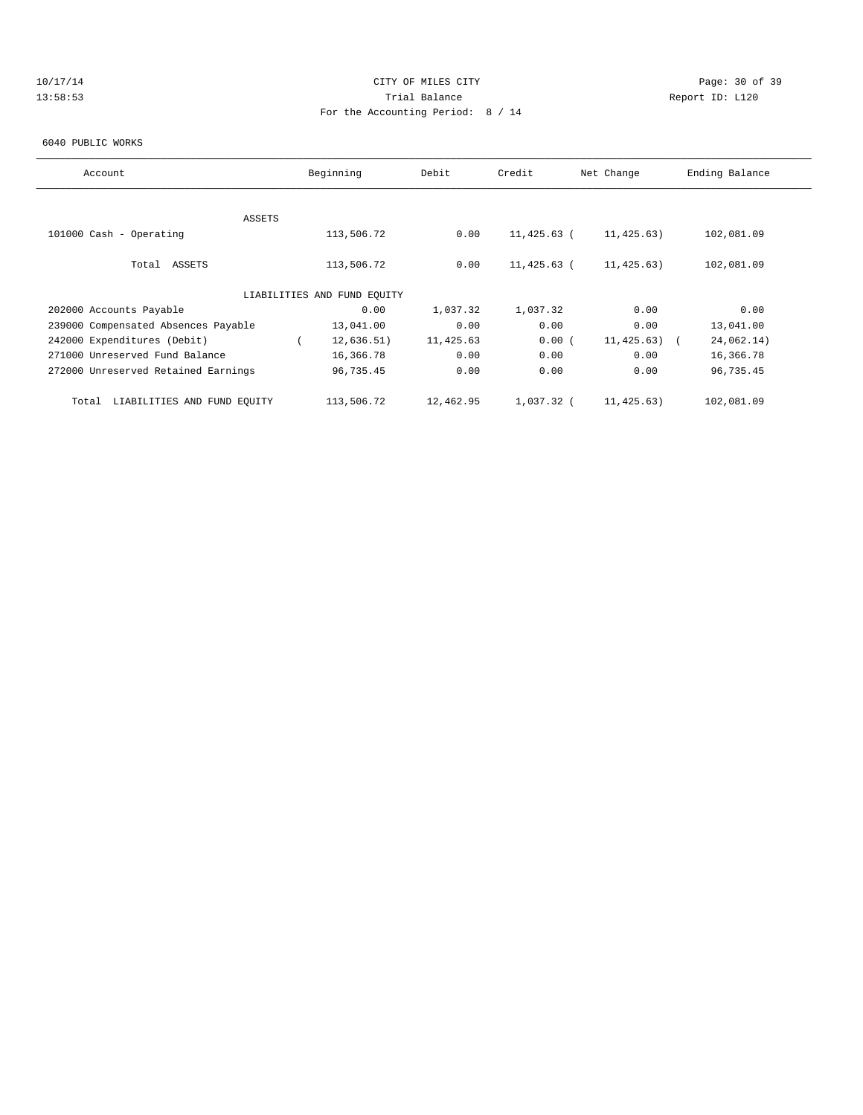# 10/17/14 Page: 30 of 39 13:58:53 Trial Balance Report ID: L120 For the Accounting Period: 8 / 14

#### 6040 PUBLIC WORKS

| Account                              | Beginning                   | Debit     | Credit      | Net Change | Ending Balance |
|--------------------------------------|-----------------------------|-----------|-------------|------------|----------------|
|                                      |                             |           |             |            |                |
| ASSETS                               |                             |           |             |            |                |
| 101000 Cash - Operating              | 113,506.72                  | 0.00      | 11,425.63 ( | 11,425.63) | 102,081.09     |
|                                      |                             |           |             |            |                |
| Total ASSETS                         | 113,506.72                  | 0.00      | 11,425.63 ( | 11,425.63) | 102,081.09     |
|                                      |                             |           |             |            |                |
|                                      | LIABILITIES AND FUND EQUITY |           |             |            |                |
| 202000 Accounts Payable              | 0.00                        | 1,037.32  | 1,037.32    | 0.00       | 0.00           |
| 239000 Compensated Absences Payable  | 13,041.00                   | 0.00      | 0.00        | 0.00       | 13,041.00      |
| 242000 Expenditures (Debit)          | 12,636.51)                  | 11,425.63 | 0.00(       | 11,425.63) | 24,062.14)     |
| 271000 Unreserved Fund Balance       | 16,366.78                   | 0.00      | 0.00        | 0.00       | 16,366.78      |
| 272000 Unreserved Retained Earnings  | 96,735.45                   | 0.00      | 0.00        | 0.00       | 96,735.45      |
|                                      |                             |           |             |            |                |
| LIABILITIES AND FUND EOUITY<br>Total | 113,506.72                  | 12,462.95 | 1,037.32 (  | 11,425.63) | 102,081.09     |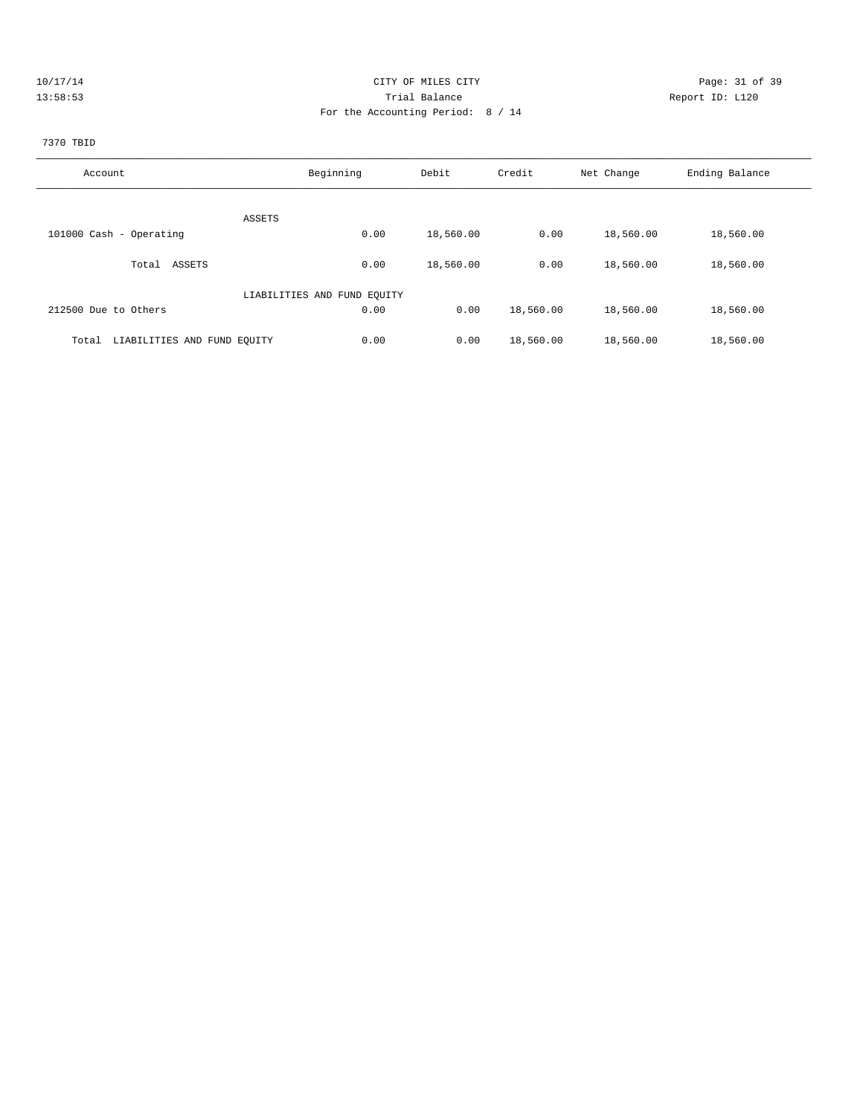| 10/17/14 | CITY OF MILES CITY                | Page: 31 of 39  |
|----------|-----------------------------------|-----------------|
| 13:58:53 | Trial Balance                     | Report ID: L120 |
|          | For the Accounting Period: 8 / 14 |                 |
|          |                                   |                 |

### 7370 TBID

| Account                              | Beginning                   | Debit     | Credit    | Net Change | Ending Balance |
|--------------------------------------|-----------------------------|-----------|-----------|------------|----------------|
| ASSETS                               |                             |           |           |            |                |
| 101000 Cash - Operating              | 0.00                        | 18,560.00 | 0.00      | 18,560.00  | 18,560.00      |
| ASSETS<br>Total                      | 0.00                        | 18,560.00 | 0.00      | 18,560.00  | 18,560.00      |
|                                      | LIABILITIES AND FUND EOUITY |           |           |            |                |
| 212500 Due to Others                 | 0.00                        | 0.00      | 18,560.00 | 18,560.00  | 18,560.00      |
| LIABILITIES AND FUND EQUITY<br>Total | 0.00                        | 0.00      | 18,560.00 | 18,560.00  | 18,560.00      |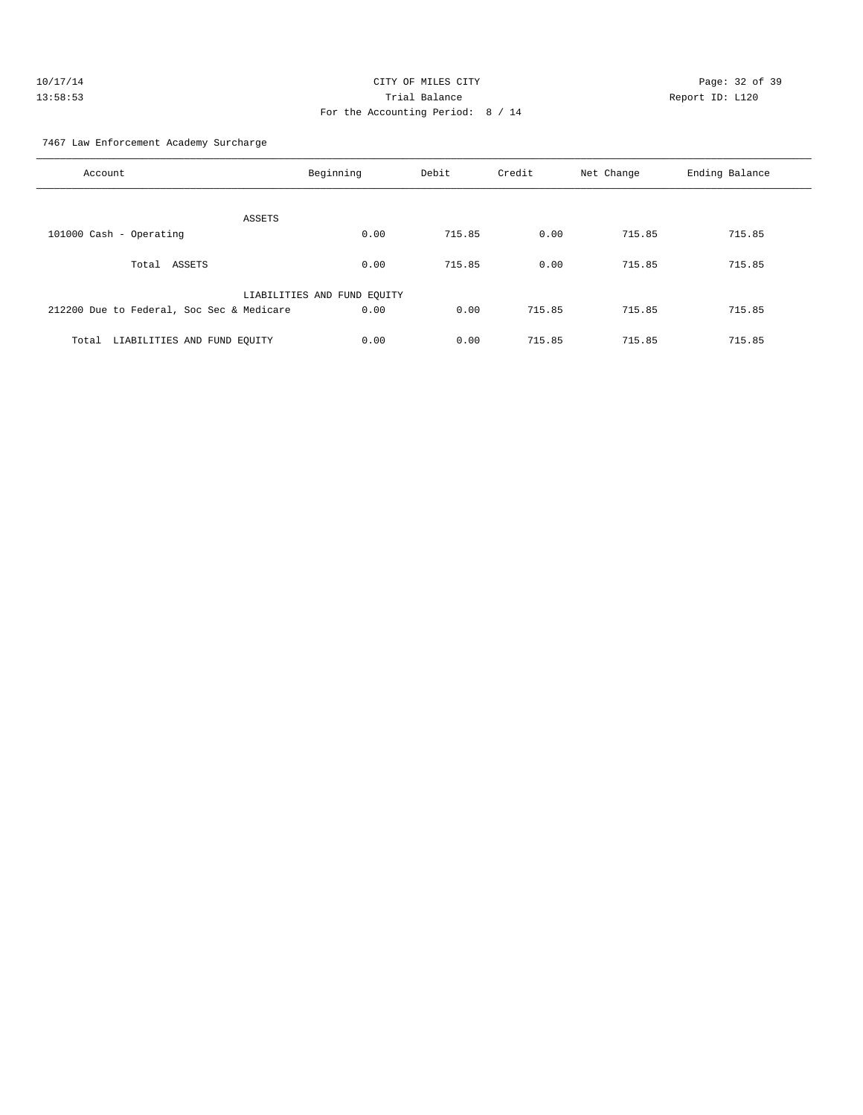| 10/17/14 | CITY OF MILES CITY                | Page: $32o$     |
|----------|-----------------------------------|-----------------|
| 13:58:53 | Trial Balance                     | Report ID: L120 |
|          | For the Accounting Period: 8 / 14 |                 |

age: 32 of 39

7467 Law Enforcement Academy Surcharge

| Account                                   | Beginning                   | Debit  | Credit | Net Change | Ending Balance |
|-------------------------------------------|-----------------------------|--------|--------|------------|----------------|
| ASSETS                                    |                             |        |        |            |                |
| 101000 Cash - Operating                   | 0.00                        | 715.85 | 0.00   | 715.85     | 715.85         |
| ASSETS<br>Total                           | 0.00                        | 715.85 | 0.00   | 715.85     | 715.85         |
|                                           | LIABILITIES AND FUND EQUITY |        |        |            |                |
| 212200 Due to Federal, Soc Sec & Medicare | 0.00                        | 0.00   | 715.85 | 715.85     | 715.85         |
| LIABILITIES AND FUND EQUITY<br>Total      | 0.00                        | 0.00   | 715.85 | 715.85     | 715.85         |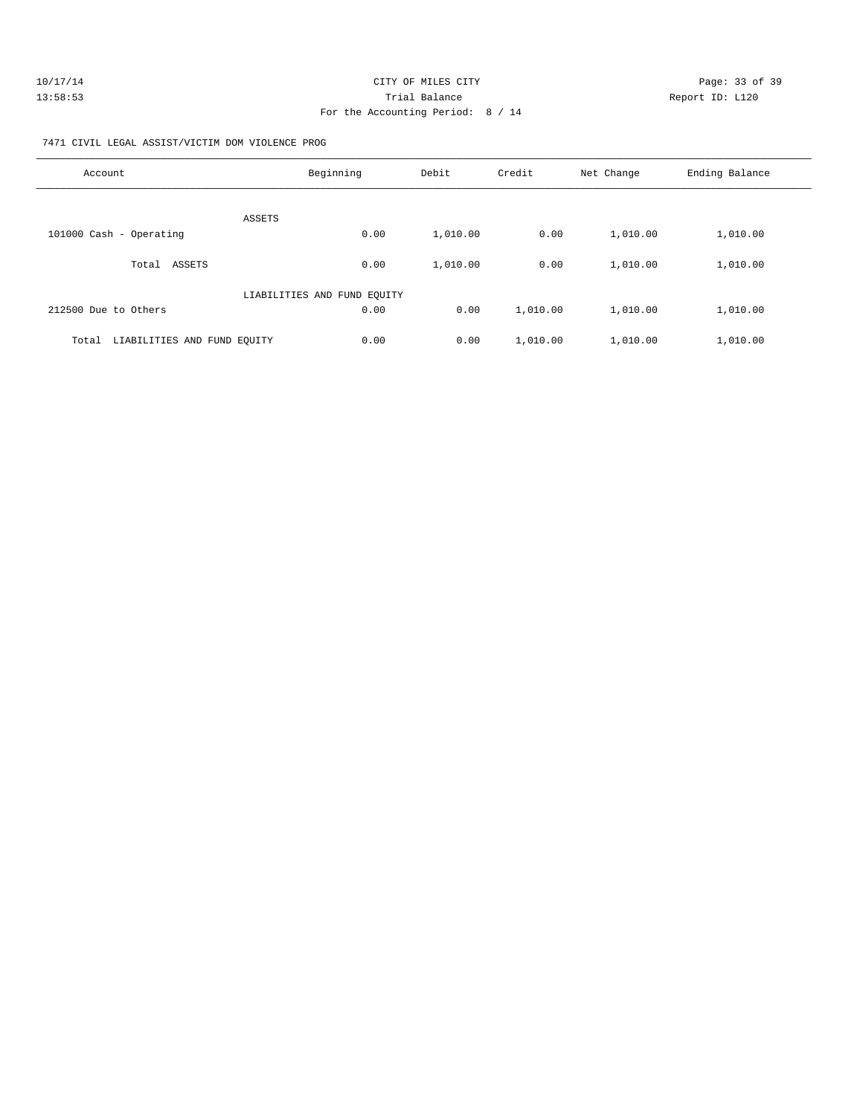| 10/17/14 | CITY OF MILES CITY                | Page: 33 of 39  |
|----------|-----------------------------------|-----------------|
| 13:58:53 | Trial Balance                     | Report ID: L120 |
|          | For the Accounting Period: 8 / 14 |                 |

7471 CIVIL LEGAL ASSIST/VICTIM DOM VIOLENCE PROG

| Account                              | Beginning                   | Debit    | Credit   | Net Change | Ending Balance |
|--------------------------------------|-----------------------------|----------|----------|------------|----------------|
| ASSETS                               |                             |          |          |            |                |
| 101000 Cash - Operating              | 0.00                        | 1,010.00 | 0.00     | 1,010.00   | 1,010.00       |
| ASSETS<br>Total                      | 0.00                        | 1,010.00 | 0.00     | 1,010.00   | 1,010.00       |
|                                      | LIABILITIES AND FUND EQUITY |          |          |            |                |
| 212500 Due to Others                 | 0.00                        | 0.00     | 1,010.00 | 1,010.00   | 1,010.00       |
| LIABILITIES AND FUND EQUITY<br>Total | 0.00                        | 0.00     | 1,010.00 | 1,010.00   | 1,010.00       |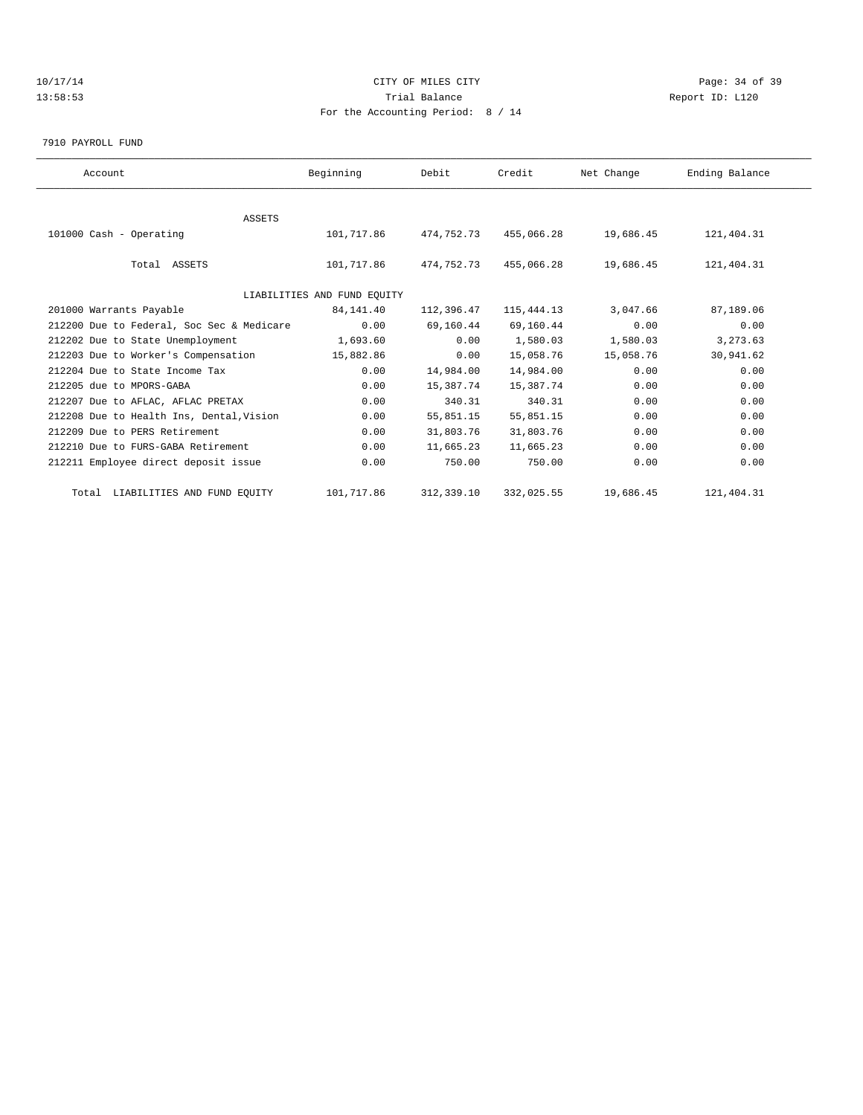## 10/17/14 Page: 34 of 39 13:58:53 Trial Balance Report ID: L120 For the Accounting Period: 8 / 14

7910 PAYROLL FUND

| Account                                   | Beginning                   | Debit      | Credit       | Net Change | Ending Balance |  |
|-------------------------------------------|-----------------------------|------------|--------------|------------|----------------|--|
|                                           |                             |            |              |            |                |  |
| <b>ASSETS</b>                             |                             |            |              |            |                |  |
| 101000 Cash - Operating                   | 101,717.86                  | 474,752.73 | 455,066.28   | 19,686.45  | 121,404.31     |  |
|                                           |                             |            |              |            |                |  |
| Total ASSETS                              | 101,717.86                  | 474,752.73 | 455,066.28   | 19,686.45  | 121,404.31     |  |
|                                           |                             |            |              |            |                |  |
|                                           | LIABILITIES AND FUND EOUITY |            |              |            |                |  |
| 201000 Warrants Payable                   | 84,141.40                   | 112,396.47 | 115, 444. 13 | 3,047.66   | 87,189.06      |  |
| 212200 Due to Federal, Soc Sec & Medicare | 0.00                        | 69,160.44  | 69,160.44    | 0.00       | 0.00           |  |
| 212202 Due to State Unemployment          | 1,693.60                    | 0.00       | 1,580.03     | 1,580.03   | 3, 273.63      |  |
| 212203 Due to Worker's Compensation       | 15,882.86                   | 0.00       | 15,058.76    | 15,058.76  | 30,941.62      |  |
| 212204 Due to State Income Tax            | 0.00                        | 14,984.00  | 14,984.00    | 0.00       | 0.00           |  |
| 212205 due to MPORS-GABA                  | 0.00                        | 15,387.74  | 15,387.74    | 0.00       | 0.00           |  |
| 212207 Due to AFLAC, AFLAC PRETAX         | 0.00                        | 340.31     | 340.31       | 0.00       | 0.00           |  |
| 212208 Due to Health Ins, Dental, Vision  | 0.00                        | 55,851.15  | 55,851.15    | 0.00       | 0.00           |  |
| 212209 Due to PERS Retirement             | 0.00                        | 31,803.76  | 31,803.76    | 0.00       | 0.00           |  |
| 212210 Due to FURS-GABA Retirement        | 0.00                        | 11,665.23  | 11,665.23    | 0.00       | 0.00           |  |
| 212211 Employee direct deposit issue      | 0.00                        | 750.00     | 750.00       | 0.00       | 0.00           |  |
|                                           |                             |            |              |            |                |  |
| Total LIABILITIES AND FUND EQUITY         | 101,717.86                  | 312,339.10 | 332,025.55   | 19,686.45  | 121,404.31     |  |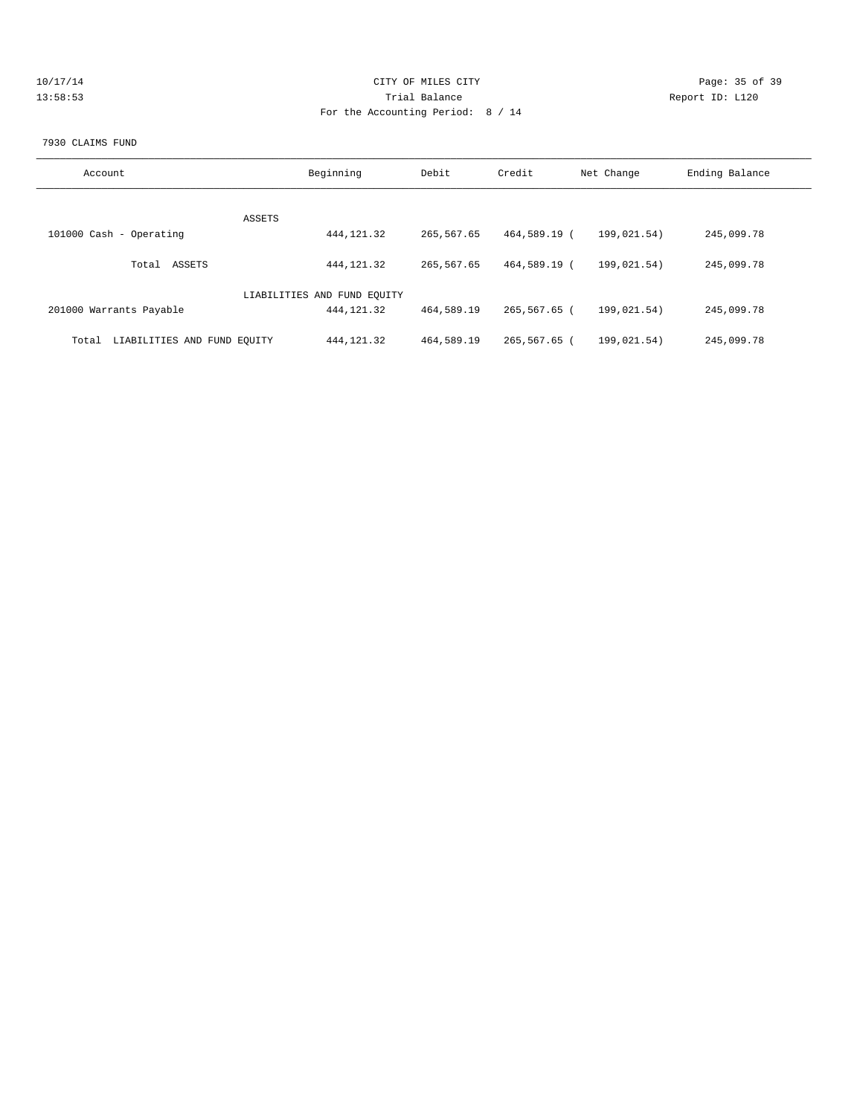| 10/17/14 | CITY OF MILES CITY                | Page: 35 of 39  |
|----------|-----------------------------------|-----------------|
| 13:58:53 | Trial Balance                     | Report ID: L120 |
|          | For the Accounting Period: 8 / 14 |                 |
|          |                                   |                 |

#### 7930 CLAIMS FUND

| Account                              | Beginning                   | Debit      | Credit       | Net Change  | Ending Balance |
|--------------------------------------|-----------------------------|------------|--------------|-------------|----------------|
| ASSETS                               |                             |            |              |             |                |
| 101000 Cash - Operating              | 444, 121.32                 | 265,567.65 | 464,589.19 ( | 199,021.54) | 245,099.78     |
| ASSETS<br>Total                      | 444, 121.32                 | 265,567.65 | 464,589.19 ( | 199.021.54) | 245,099.78     |
|                                      | LIABILITIES AND FUND EOUITY |            |              |             |                |
| 201000 Warrants Payable              | 444, 121.32                 | 464,589.19 | 265,567.65 ( | 199,021.54) | 245,099.78     |
| LIABILITIES AND FUND EQUITY<br>Total | 444, 121.32                 | 464,589.19 | 265,567.65 ( | 199.021.54) | 245,099.78     |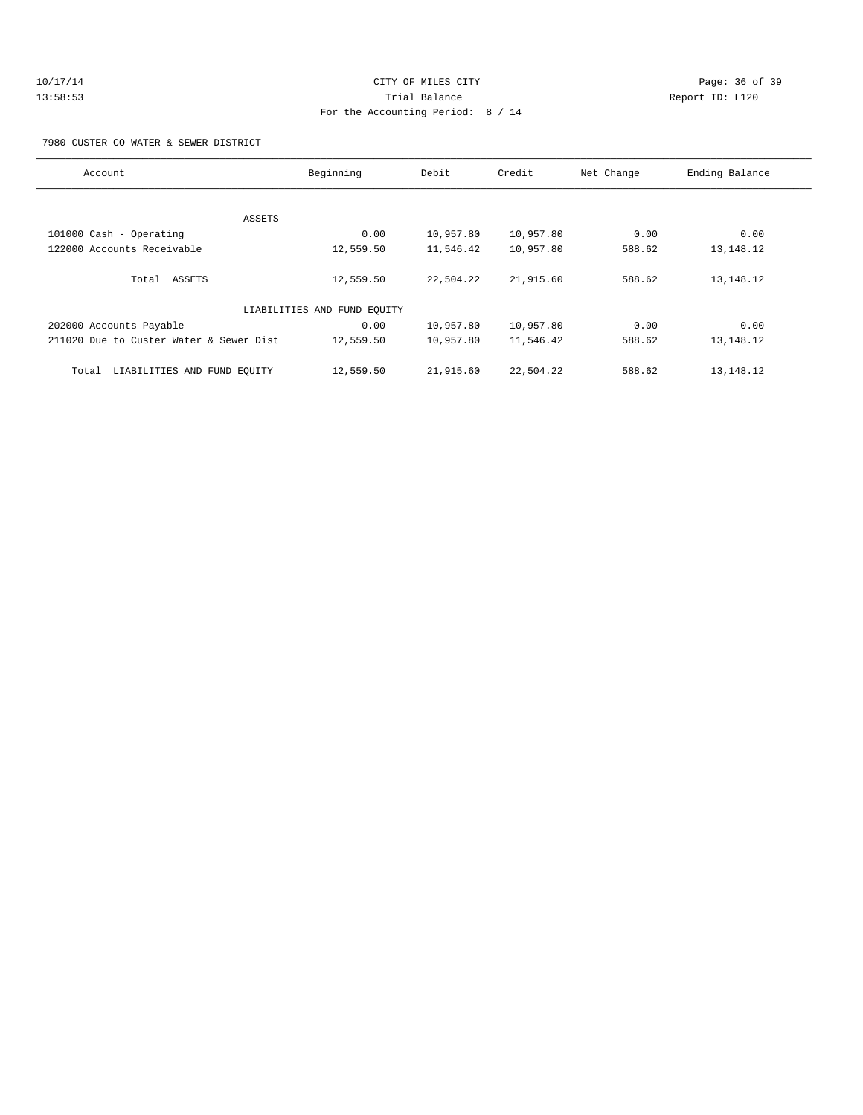| 10/17/14 | CITY OF MILES CITY                | Page: 36 of 39  |
|----------|-----------------------------------|-----------------|
| 13:58:53 | Trial Balance                     | Report ID: L120 |
|          | For the Accounting Period: 8 / 14 |                 |

7980 CUSTER CO WATER & SEWER DISTRICT

| Account                                 | Beginning                   | Debit     | Credit    | Net Change | Ending Balance |
|-----------------------------------------|-----------------------------|-----------|-----------|------------|----------------|
|                                         |                             |           |           |            |                |
| ASSETS                                  |                             |           |           |            |                |
| 101000 Cash - Operating                 | 0.00                        | 10,957.80 | 10,957.80 | 0.00       | 0.00           |
| 122000 Accounts Receivable              | 12,559.50                   | 11,546.42 | 10,957.80 | 588.62     | 13,148.12      |
|                                         |                             |           |           |            |                |
| Total ASSETS                            | 12,559.50                   | 22,504.22 | 21,915.60 | 588.62     | 13, 148. 12    |
|                                         |                             |           |           |            |                |
|                                         | LIABILITIES AND FUND EQUITY |           |           |            |                |
| 202000 Accounts Payable                 | 0.00                        | 10,957.80 | 10,957.80 | 0.00       | 0.00           |
| 211020 Due to Custer Water & Sewer Dist | 12,559.50                   | 10,957.80 | 11,546.42 | 588.62     | 13, 148. 12    |
|                                         |                             |           |           |            |                |
| LIABILITIES AND FUND EQUITY<br>Total    | 12,559.50                   | 21,915.60 | 22,504.22 | 588.62     | 13,148.12      |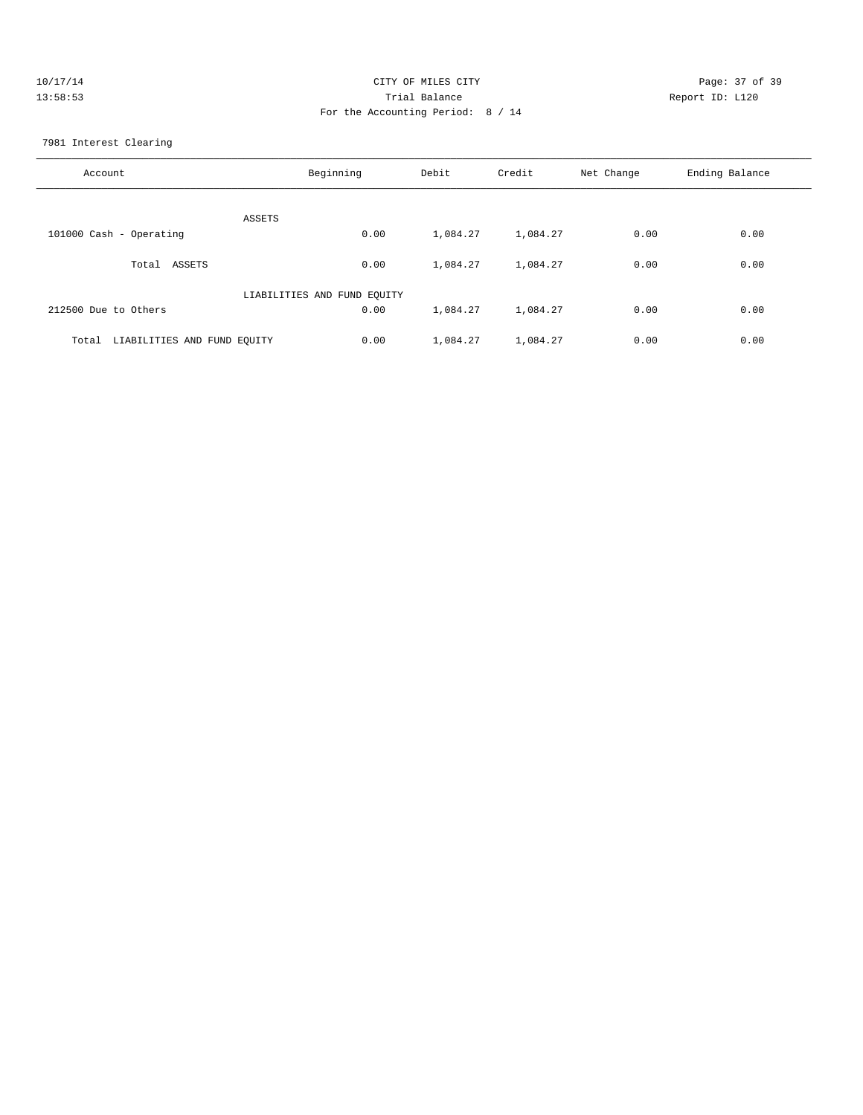| 10/17/14 | CITY OF MILES CITY                | Page: 37 of 39  |
|----------|-----------------------------------|-----------------|
| 13:58:53 | Trial Balance                     | Report ID: L120 |
|          | For the Accounting Period: 8 / 14 |                 |
|          |                                   |                 |

7981 Interest Clearing

| Account                              | Beginning                   | Debit    | Credit   | Net Change | Ending Balance |
|--------------------------------------|-----------------------------|----------|----------|------------|----------------|
| ASSETS                               |                             |          |          |            |                |
| 101000 Cash - Operating              | 0.00                        | 1,084.27 | 1,084.27 | 0.00       | 0.00           |
| ASSETS<br>Total                      | 0.00                        | 1,084.27 | 1,084.27 | 0.00       | 0.00           |
|                                      | LIABILITIES AND FUND EQUITY |          |          |            |                |
| 212500 Due to Others                 | 0.00                        | 1,084.27 | 1,084.27 | 0.00       | 0.00           |
| LIABILITIES AND FUND EQUITY<br>Total | 0.00                        | 1,084.27 | 1,084.27 | 0.00       | 0.00           |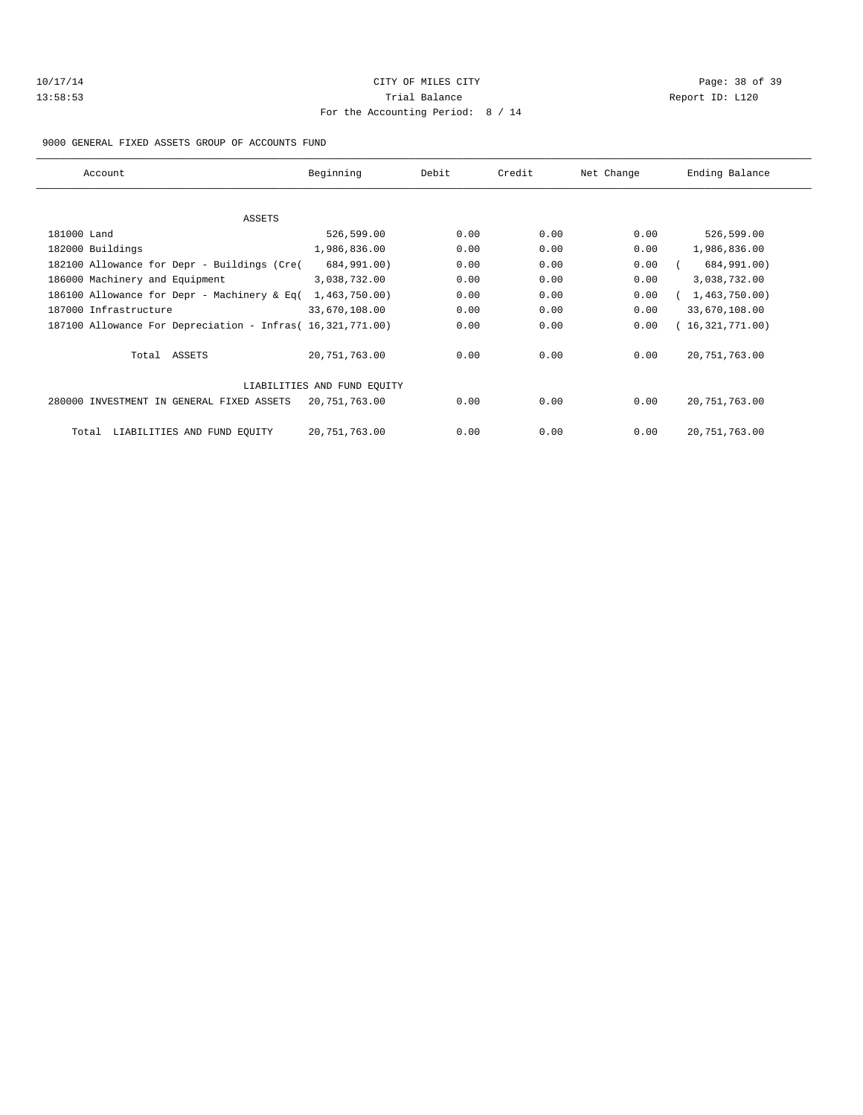| 10/17/14 |  |
|----------|--|
| 13:58:53 |  |

# CITY OF MILES CITY CONTROL CONTROL CONTROL CONTROL CONTROL PAGE: 38 of 39 13:53 Trial Balance and Separation Report ID: L120 For the Accounting Period: 8 / 14

9000 GENERAL FIXED ASSETS GROUP OF ACCOUNTS FUND

| Account                                                    | Beginning                   | Debit | Credit | Net Change | Ending Balance  |
|------------------------------------------------------------|-----------------------------|-------|--------|------------|-----------------|
|                                                            |                             |       |        |            |                 |
| ASSETS                                                     |                             |       |        |            |                 |
| 181000 Land                                                | 526,599.00                  | 0.00  | 0.00   | 0.00       | 526,599.00      |
| 182000 Buildings                                           | 1,986,836.00                | 0.00  | 0.00   | 0.00       | 1,986,836.00    |
| 182100 Allowance for Depr - Buildings (Cre(                | 684,991.00)                 | 0.00  | 0.00   | 0.00       | 684,991.00)     |
| 186000 Machinery and Equipment                             | 3,038,732.00                | 0.00  | 0.00   | 0.00       | 3,038,732.00    |
| 186100 Allowance for Depr - Machinery & Eq(                | 1,463,750.00)               | 0.00  | 0.00   | 0.00       | 1,463,750.00    |
| 187000 Infrastructure                                      | 33,670,108.00               | 0.00  | 0.00   | 0.00       | 33,670,108.00   |
| 187100 Allowance For Depreciation - Infras( 16,321,771.00) |                             | 0.00  | 0.00   | 0.00       | 16,321,771.00   |
| Total ASSETS                                               | 20,751,763.00               | 0.00  | 0.00   | 0.00       | 20, 751, 763.00 |
|                                                            | LIABILITIES AND FUND EOUITY |       |        |            |                 |
| 280000 INVESTMENT IN GENERAL FIXED ASSETS                  | 20,751,763.00               | 0.00  | 0.00   | 0.00       | 20, 751, 763.00 |
| LIABILITIES AND FUND EQUITY<br>Total                       | 20,751,763.00               | 0.00  | 0.00   | 0.00       | 20, 751, 763.00 |